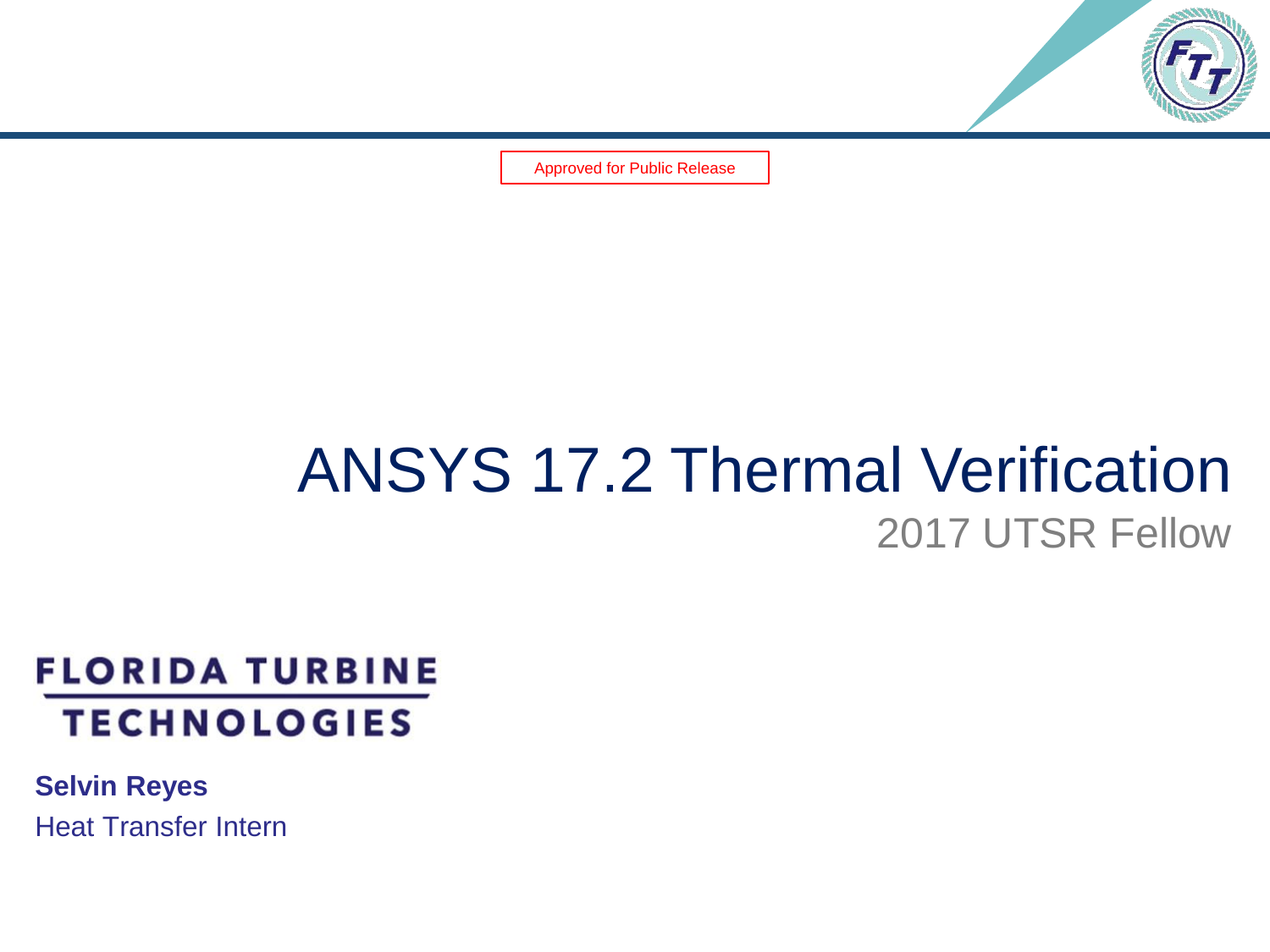

Approved for Public Release

#### ANSYS 17.2 Thermal Verification 2017 UTSR Fellow

#### **FLORIDA TURBINE TECHNOLOGIES**

**Selvin Reyes** Heat Transfer Intern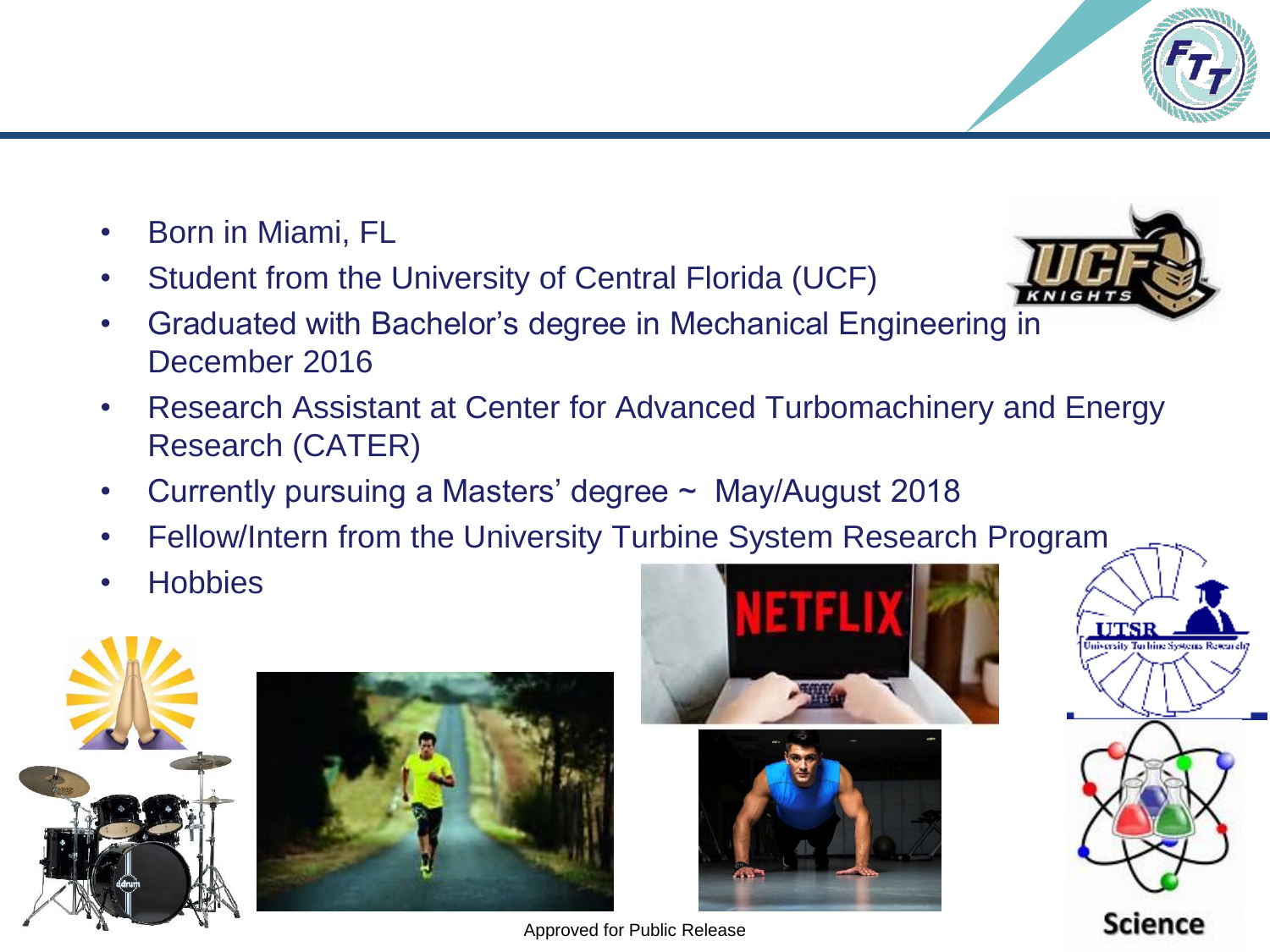- Born in Miami, FL
- Student from the University of Central Florida (UCF)
- Graduated with Bachelor's degree in Mechanical Engineering in December 2016
- Research Assistant at Center for Advanced Turbomachinery and Energy Research (CATER)
- Currently pursuing a Masters' degree  $\sim$  May/August 2018
- Fellow/Intern from the University Turbine System Research Program
- **Hobbies**











Approved for Public Release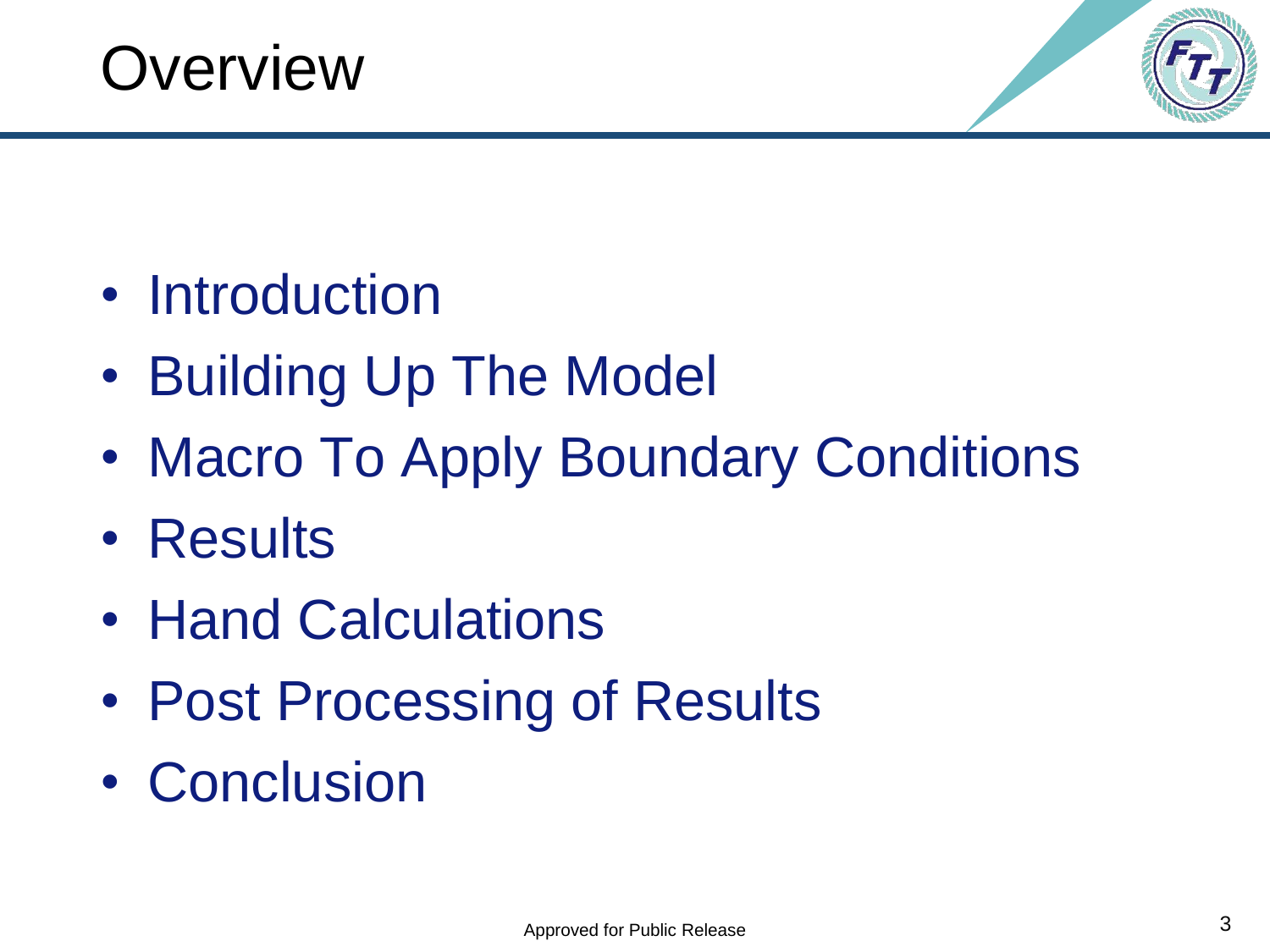



- Introduction
- Building Up The Model
- Macro To Apply Boundary Conditions
- Results
- Hand Calculations
- Post Processing of Results
- Conclusion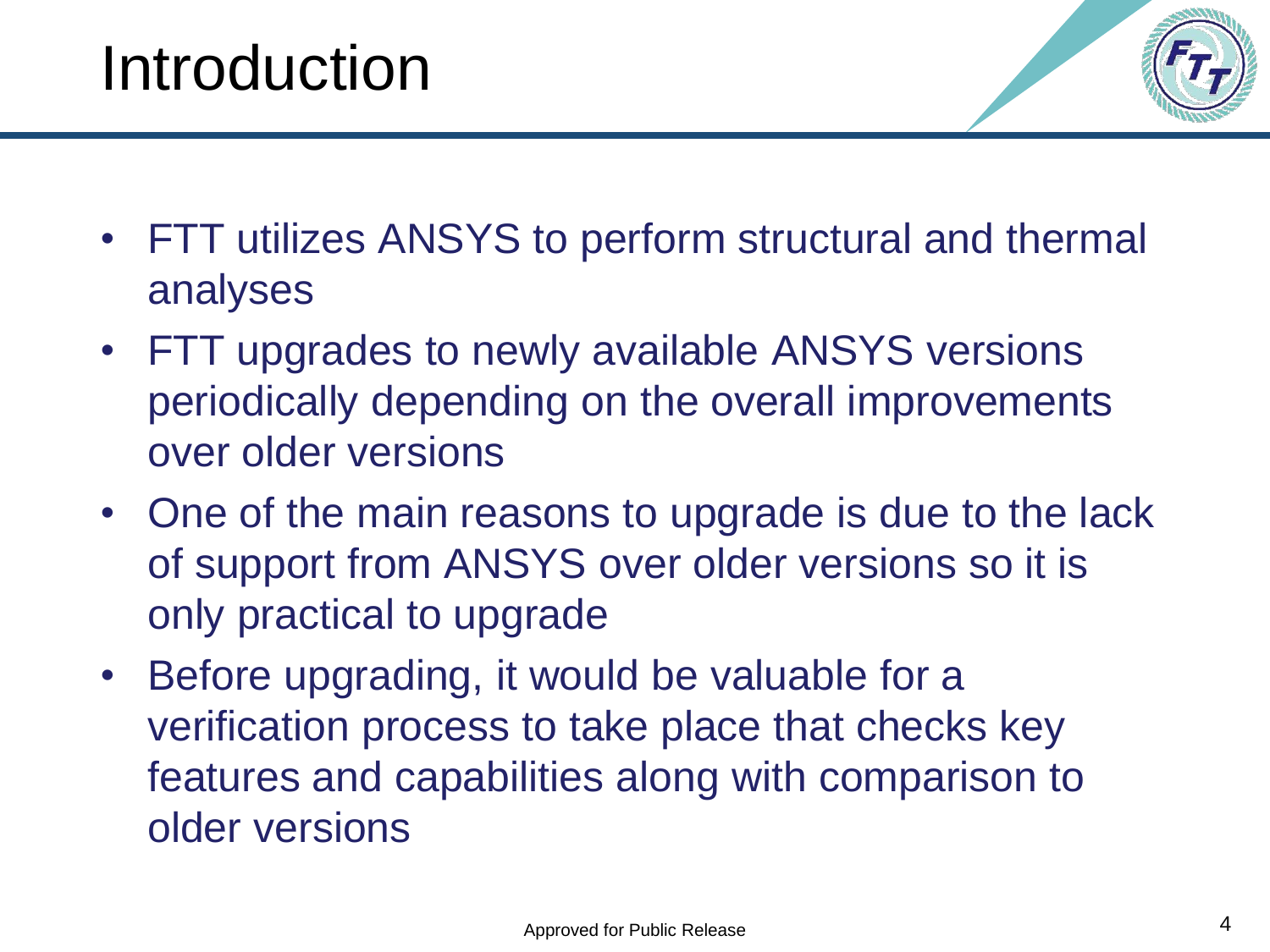

- FTT utilizes ANSYS to perform structural and thermal analyses
- FTT upgrades to newly available ANSYS versions periodically depending on the overall improvements over older versions
- One of the main reasons to upgrade is due to the lack of support from ANSYS over older versions so it is only practical to upgrade
- Before upgrading, it would be valuable for a verification process to take place that checks key features and capabilities along with comparison to older versions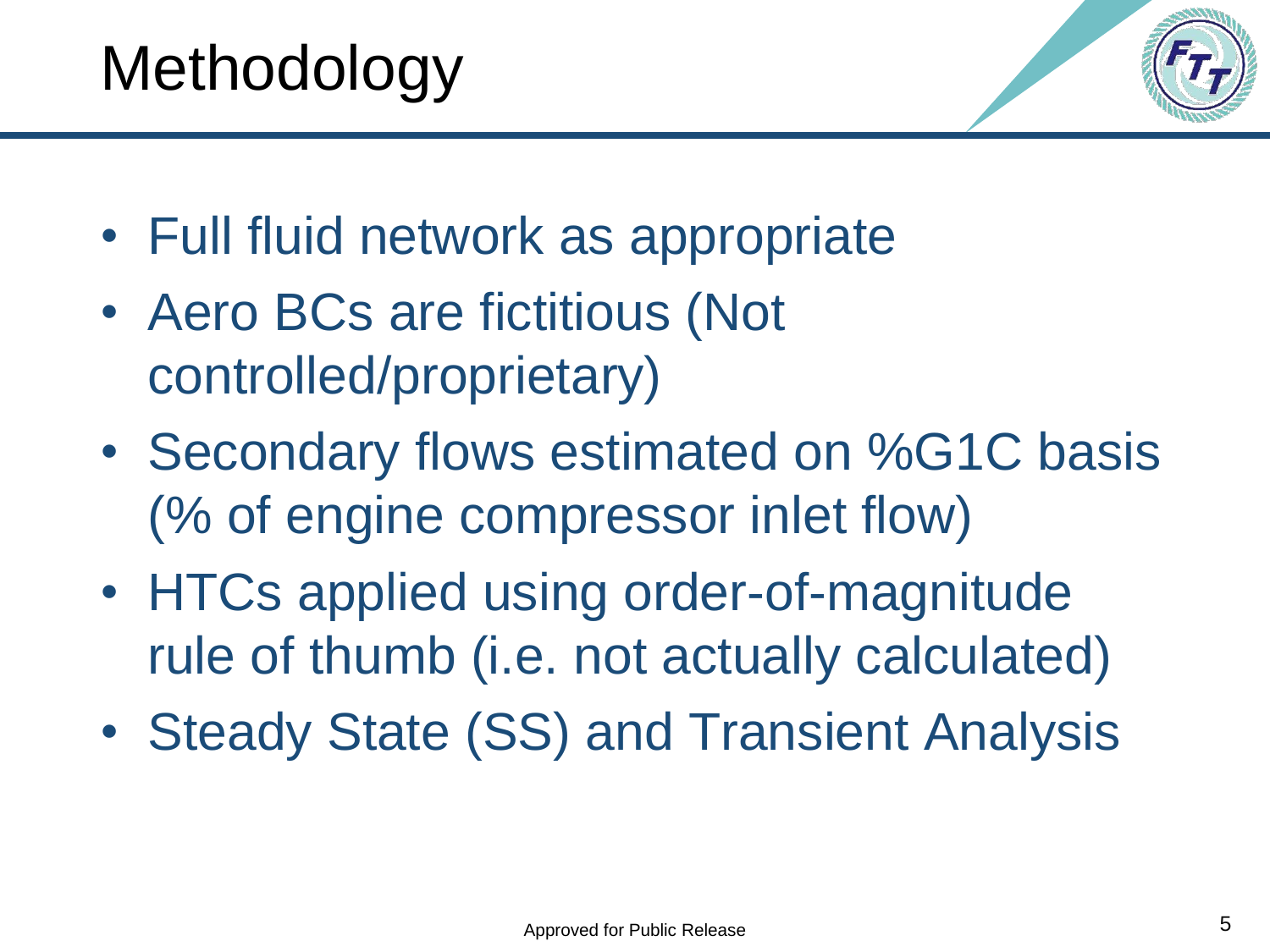

- Full fluid network as appropriate
- Aero BCs are fictitious (Not controlled/proprietary)
- Secondary flows estimated on %G1C basis (% of engine compressor inlet flow)
- HTCs applied using order-of-magnitude rule of thumb (i.e. not actually calculated)
- Steady State (SS) and Transient Analysis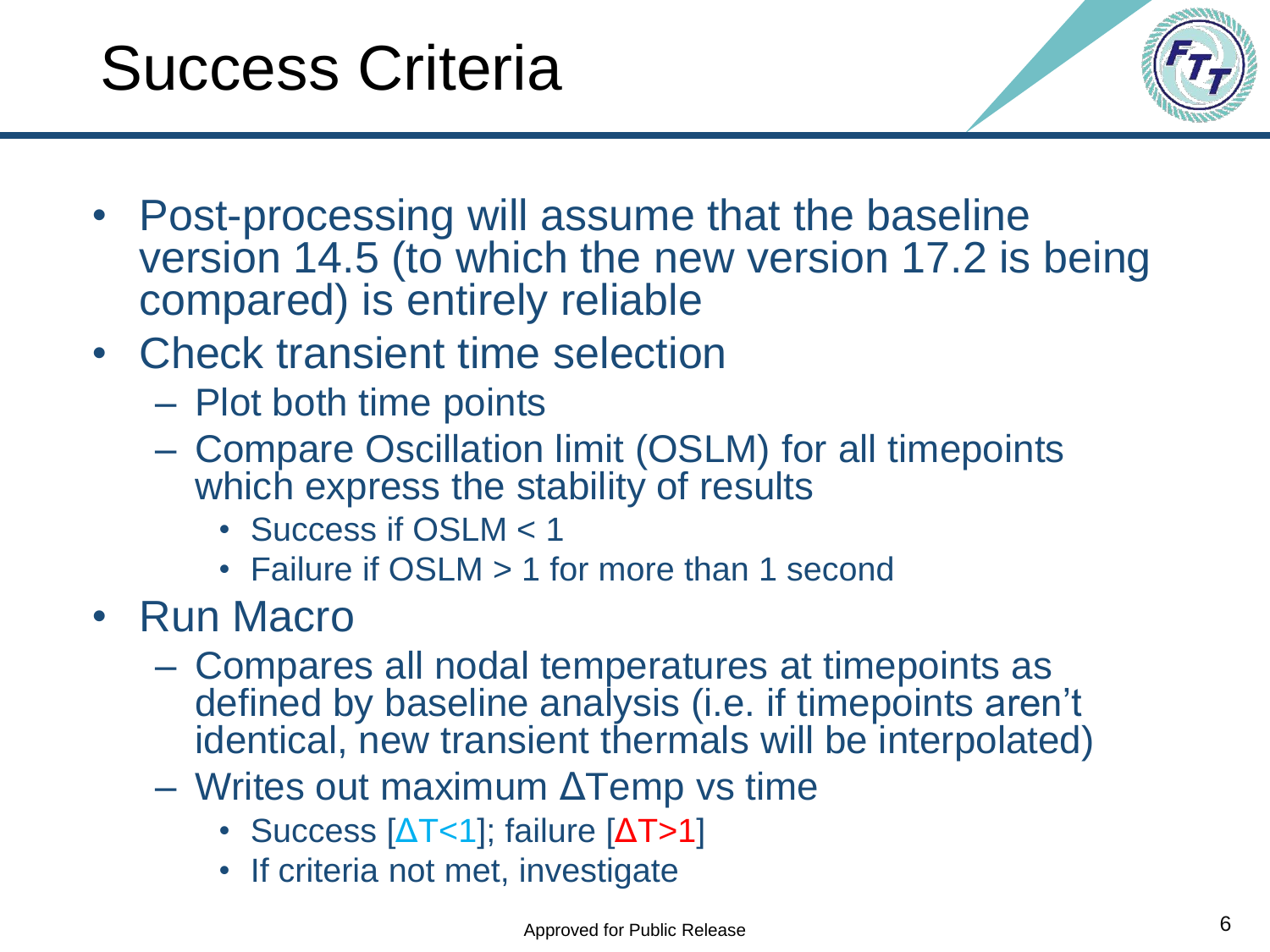



- Post-processing will assume that the baseline version 14.5 (to which the new version 17.2 is being compared) is entirely reliable
- Check transient time selection
	- Plot both time points
	- Compare Oscillation limit (OSLM) for all timepoints which express the stability of results
		- Success if OSLM < 1
		- Failure if OSLM > 1 for more than 1 second
- Run Macro
	- Compares all nodal temperatures at timepoints as defined by baseline analysis (i.e. if timepoints aren't identical, new transient thermals will be interpolated)
	- Writes out maximum ΔTemp vs time
		- Success  $[ΔT<1]$ ; failure  $[ΔT>1]$
		- If criteria not met, investigate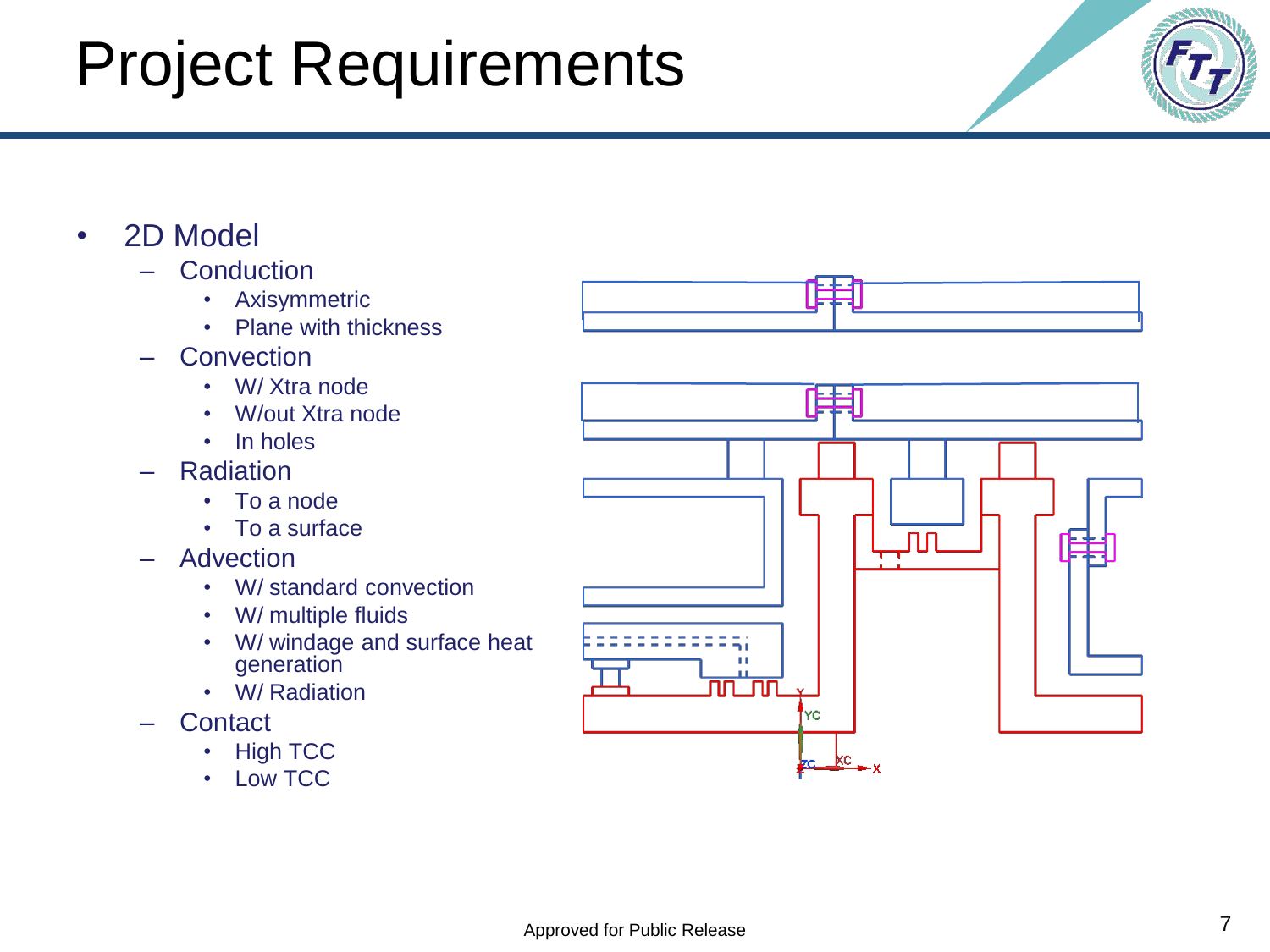### Project Requirements

- 2D Model
	- **Conduction** 
		- Axisymmetric
		- Plane with thickness
	- **Convection** 
		- W/ Xtra node
		- W/out Xtra node
		- In holes
	- Radiation
		- To a node
		- To a surface
	- **Advection** 
		- W/ standard convection
		- W/ multiple fluids
		- W/ windage and surface heat generation
		- W/ Radiation
	- **Contact** 
		- High TCC
		- Low TCC



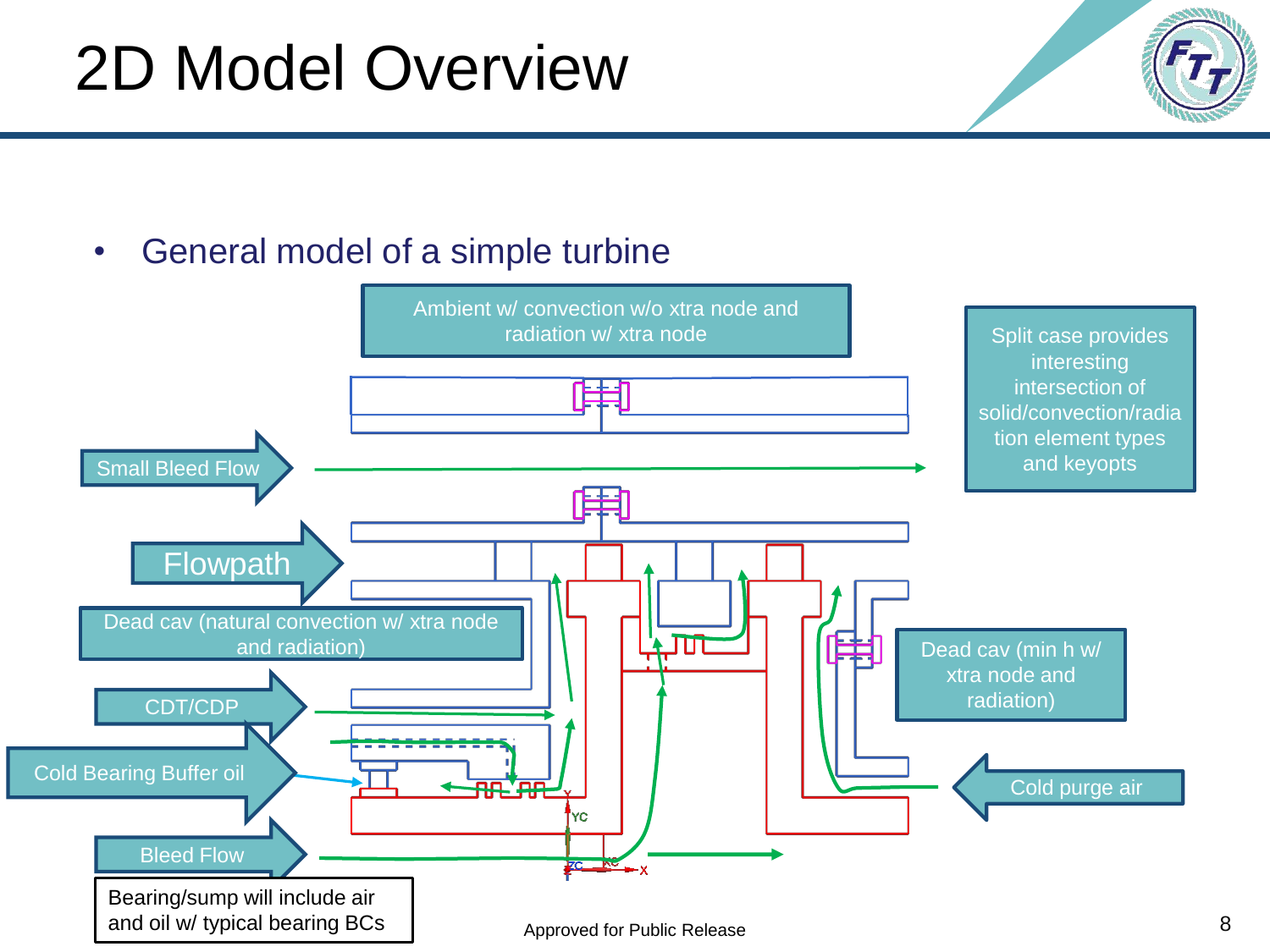#### 2D Model Overview

• General model of a simple turbine

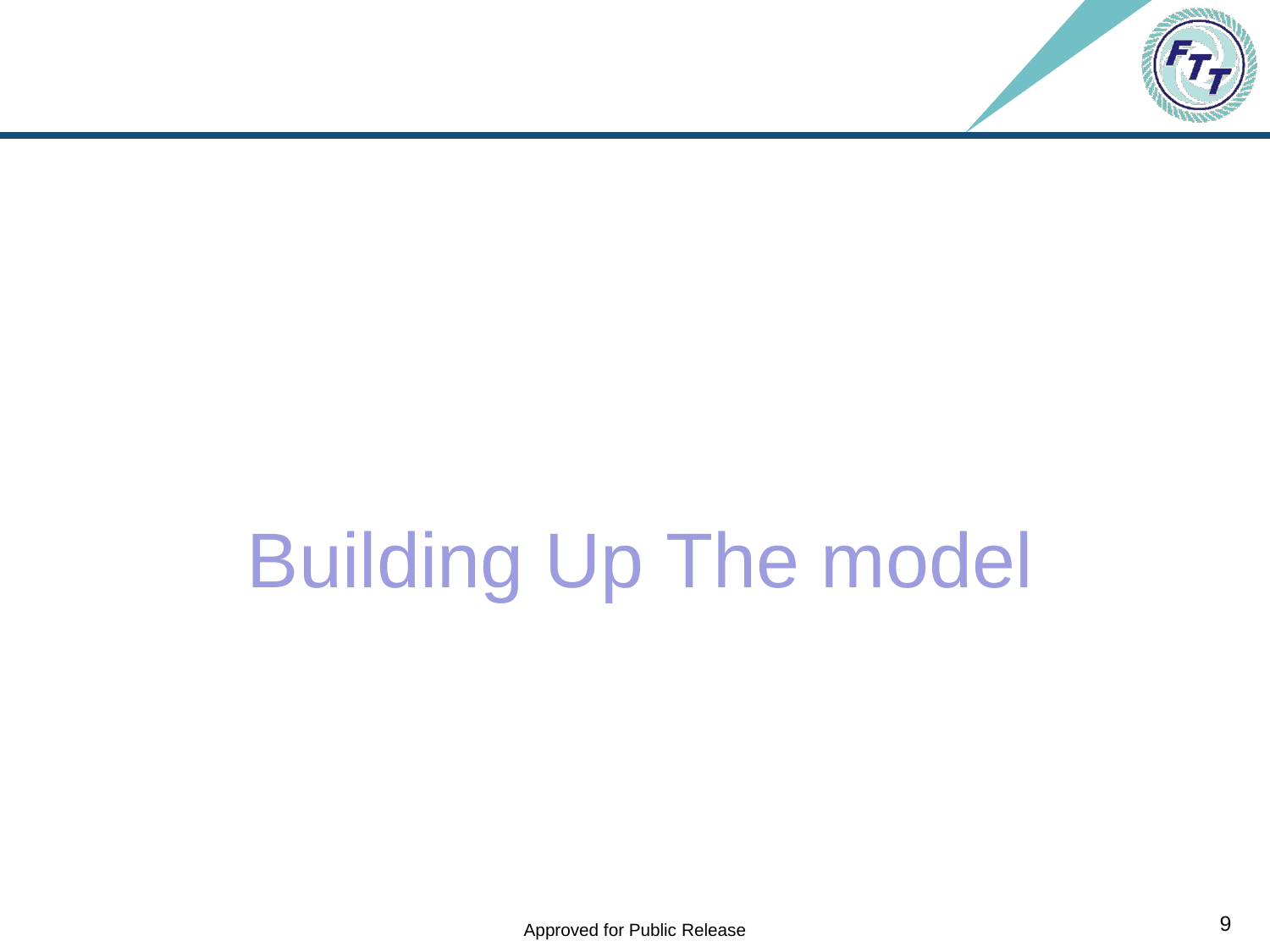

# Building Up The model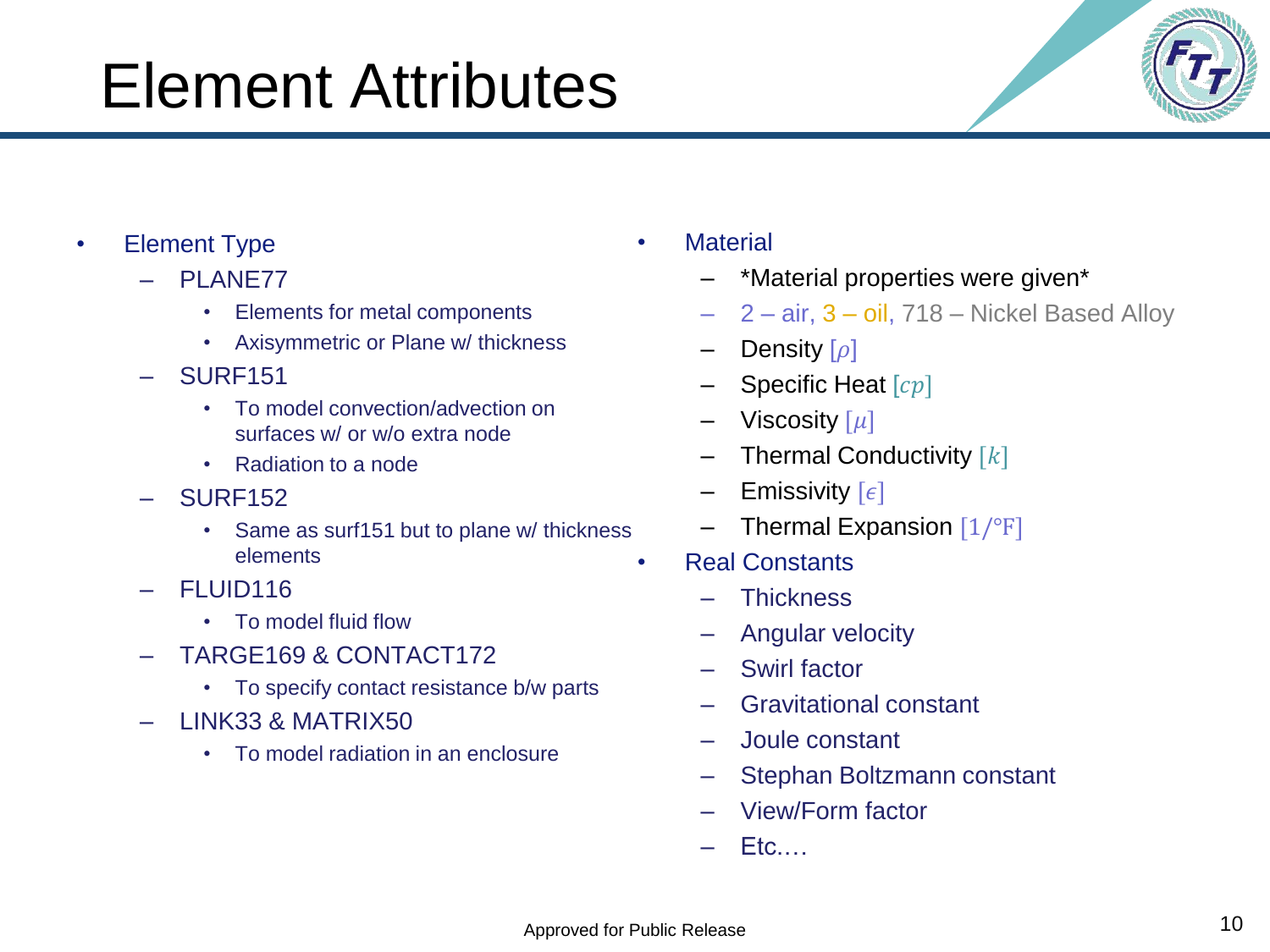### Element Attributes

- Element Type
	- PLANE77
		- Elements for metal components
		- Axisymmetric or Plane w/ thickness
	- SURF151
		- To model convection/advection on surfaces w/ or w/o extra node
		- Radiation to a node
	- SURF152
		- Same as surf151 but to plane w/ thickness elements
	- FLUID116
		- To model fluid flow
	- TARGE169 & CONTACT172
		- To specify contact resistance b/w parts
	- LINK33 & MATRIX50
		- To model radiation in an enclosure
- Material
	- \*Material properties were given\*
	- 2 air, 3 oil, 718 Nickel Based Alloy
	- Density  $[\rho]$
	- Specific Heat  $[cp]$
	- Viscosity  $[\mu]$
	- Thermal Conductivity  $[k]$
	- $-$  Emissivity  $\lceil \epsilon \rceil$
	- $-$  Thermal Expansion  $[1/\text{°F}]$
	- Real Constants
		- **Thickness**
		- Angular velocity
		- Swirl factor
		- Gravitational constant
		- Joule constant
		- Stephan Boltzmann constant
		- View/Form factor
		- Etc.…

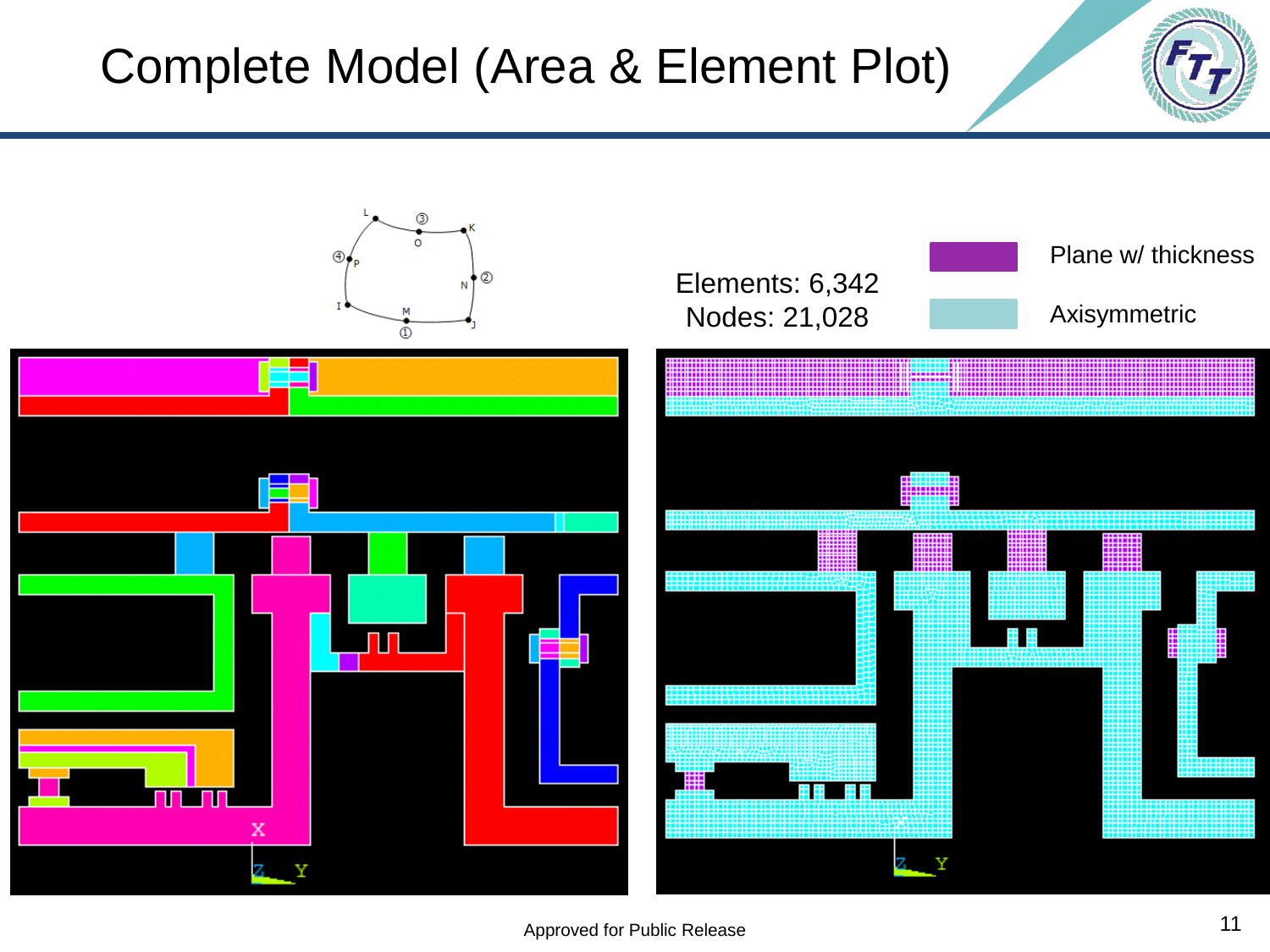#### Complete Model (Area & Element Plot)



Approved for Public Release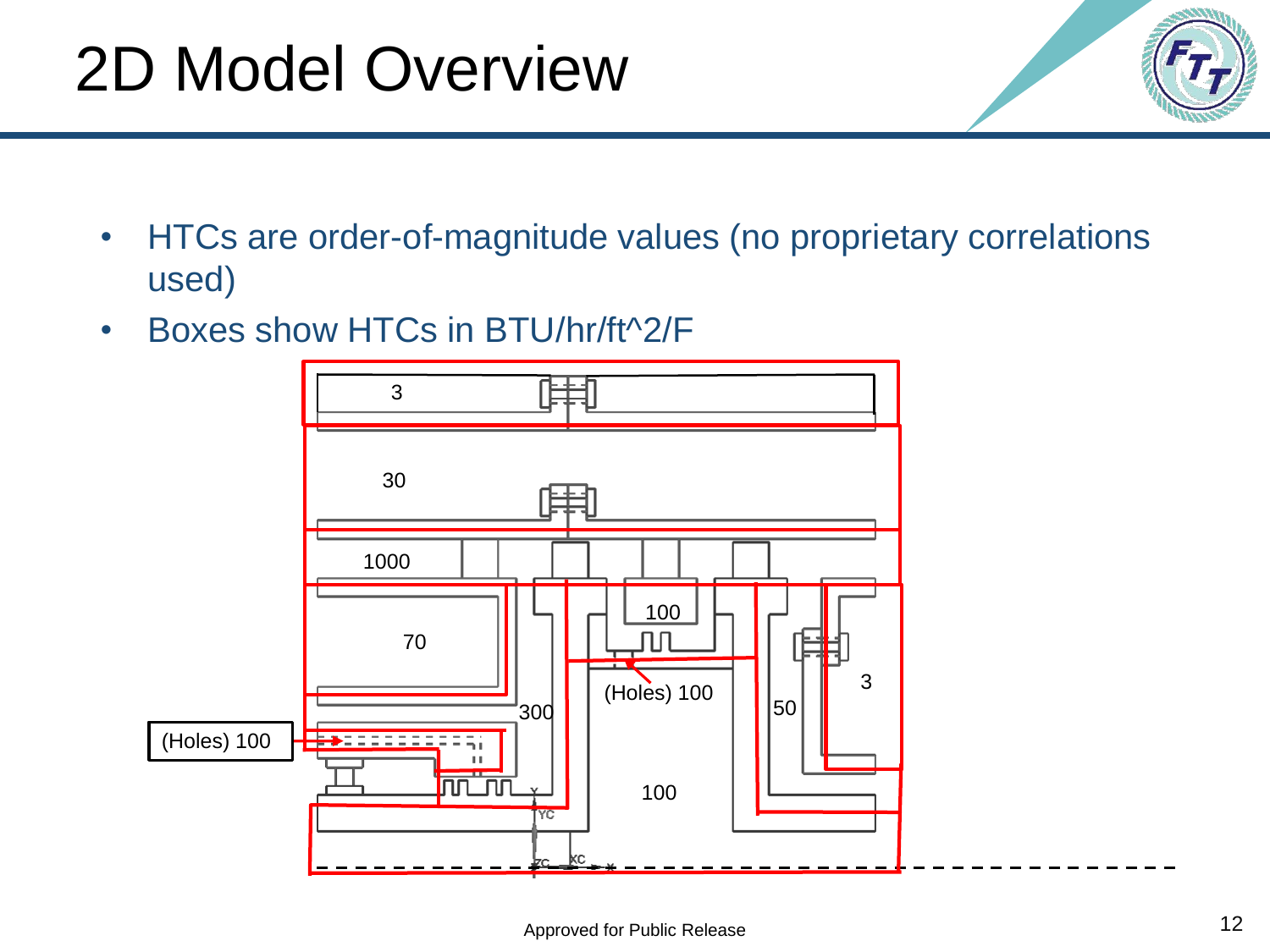## 2D Model Overview

- HTCs are order-of-magnitude values (no proprietary correlations used)
- Boxes show HTCs in BTU/hr/ft^2/F

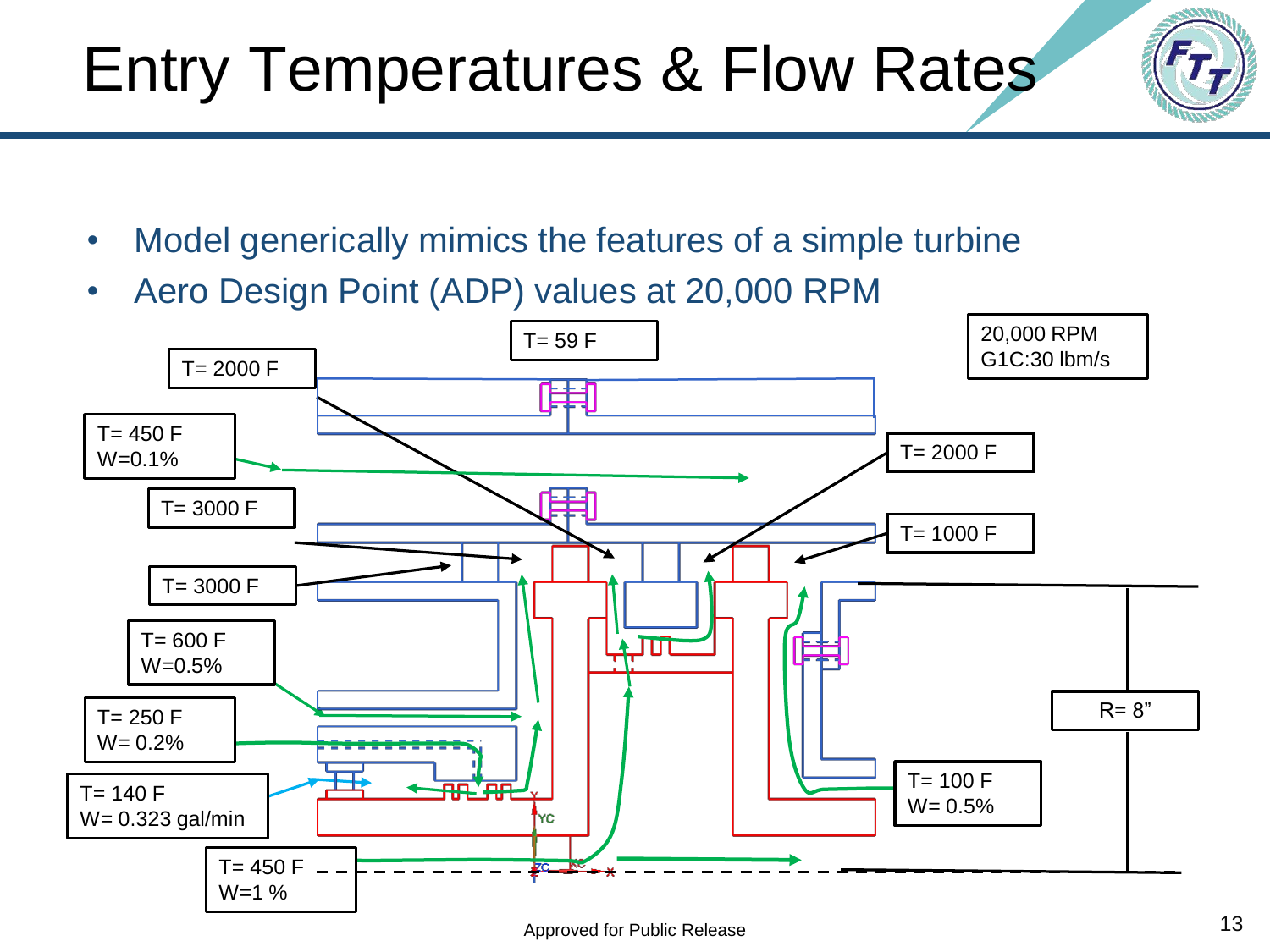#### Approved for Public Release

## Entry Temperatures & Flow Rates

- Model generically mimics the features of a simple turbine
- Aero Design Point (ADP) values at 20,000 RPM

![](_page_12_Figure_4.jpeg)

![](_page_12_Picture_6.jpeg)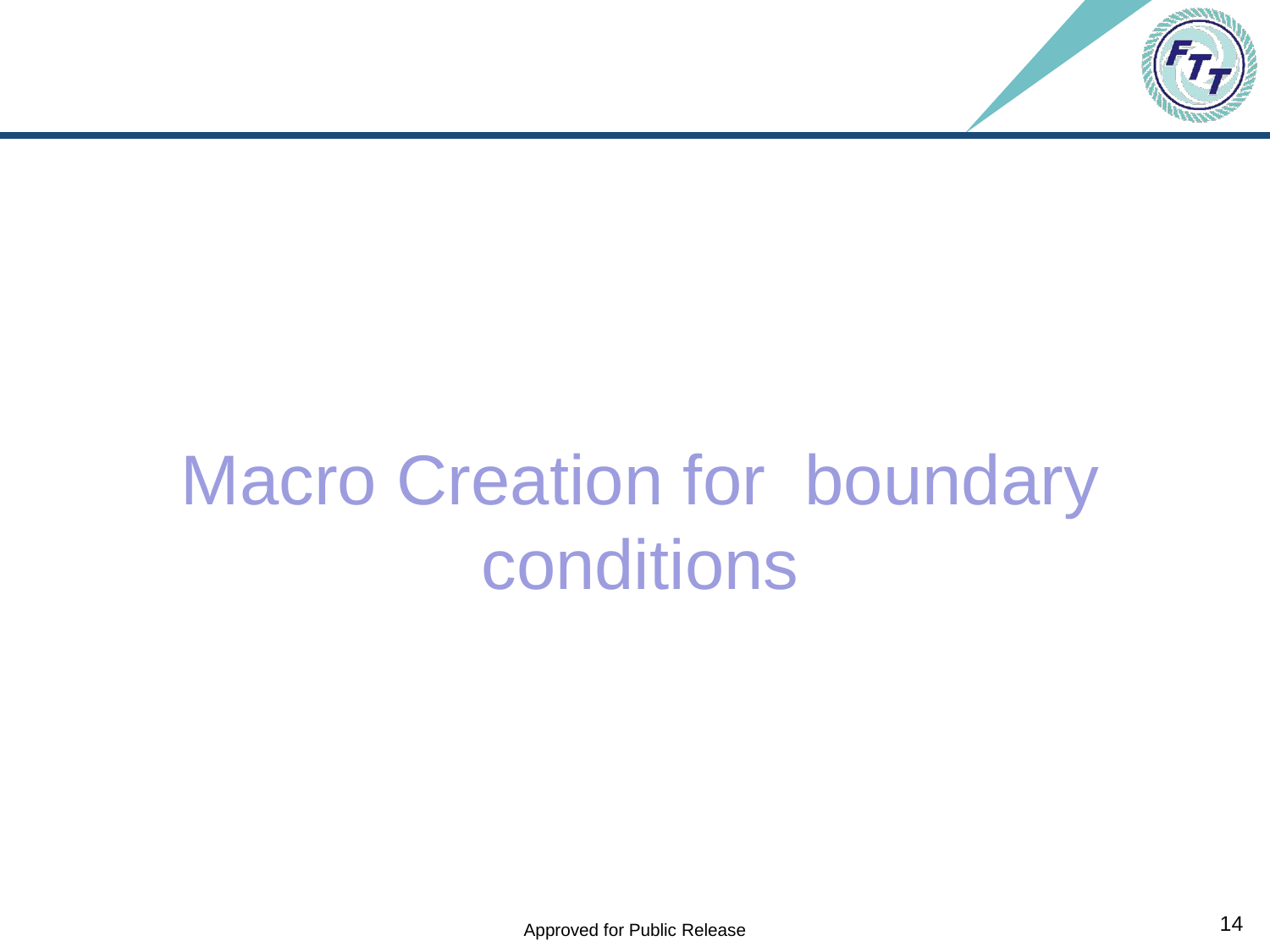![](_page_13_Picture_0.jpeg)

# Macro Creation for boundary conditions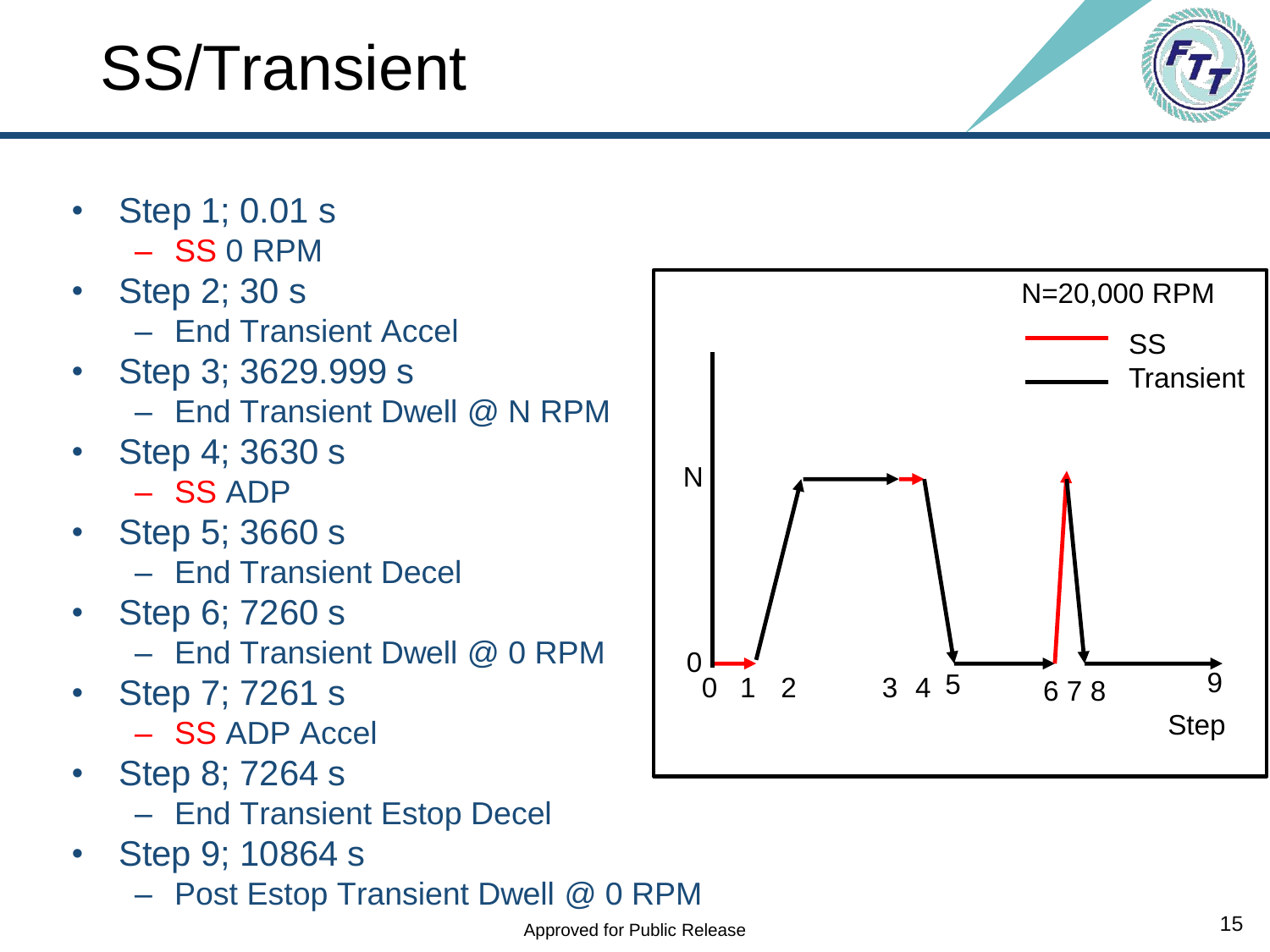# SS/Transient

- Step 1; 0.01 s – SS 0 RPM
- Step 2; 30 s
	- End Transient Accel
- Step 3; 3629.999 s
	- End Transient Dwell @ N RPM
- Step 4; 3630 s
	- SS ADP
- Step 5; 3660 s – End Transient Decel
- Step 6; 7260 s
	- End Transient Dwell @ 0 RPM
- Step 7; 7261 s
	- SS ADP Accel
- Step 8; 7264 s
	- End Transient Estop Decel
- Step 9; 10864 s
	- Post Estop Transient Dwell @ 0 RPM

![](_page_14_Figure_18.jpeg)

![](_page_14_Picture_19.jpeg)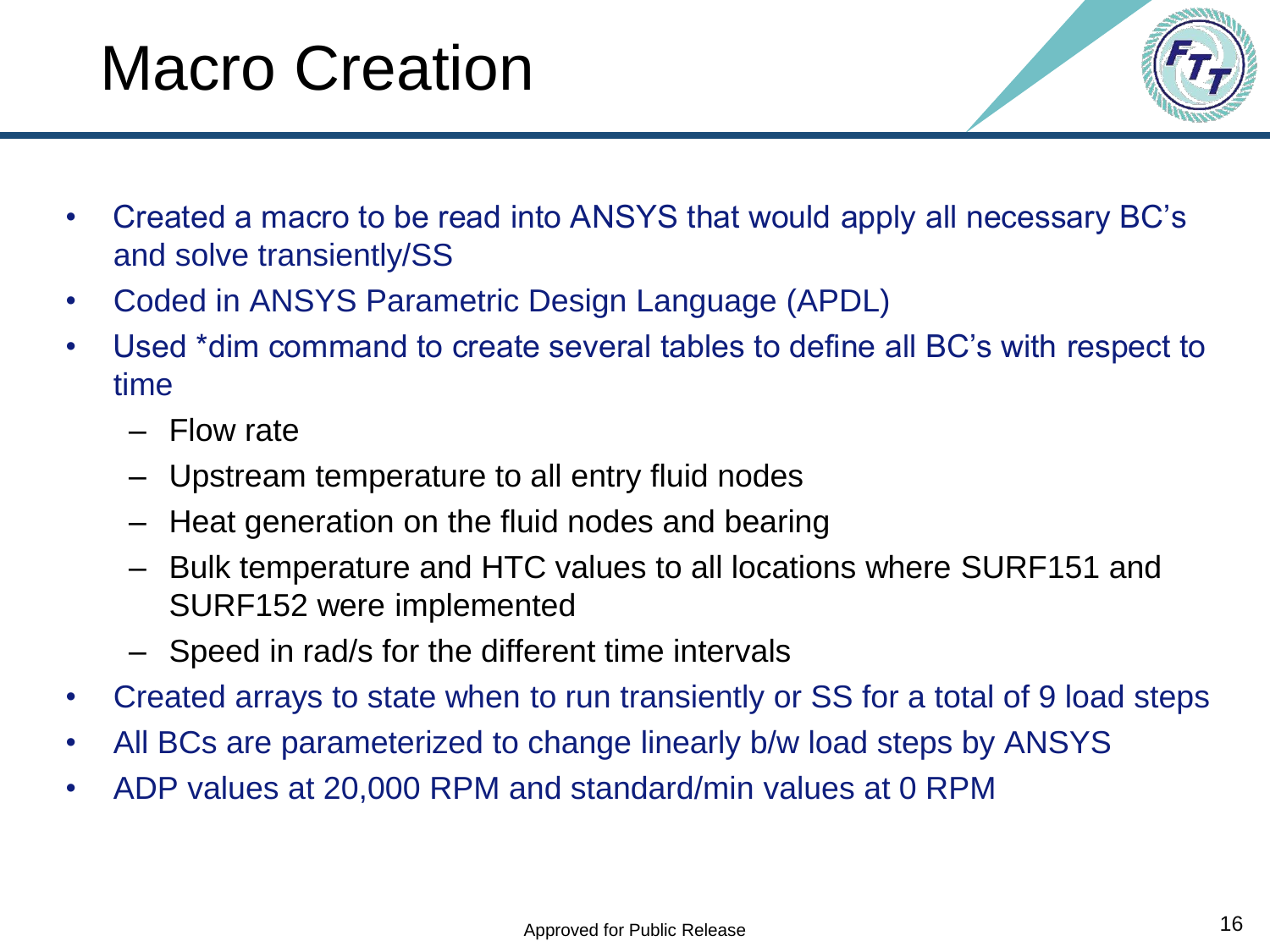## Macro Creation

![](_page_15_Picture_1.jpeg)

- Created a macro to be read into ANSYS that would apply all necessary BC's and solve transiently/SS
- Coded in ANSYS Parametric Design Language (APDL)
- Used \*dim command to create several tables to define all BC's with respect to time
	- Flow rate
	- Upstream temperature to all entry fluid nodes
	- Heat generation on the fluid nodes and bearing
	- Bulk temperature and HTC values to all locations where SURF151 and SURF152 were implemented
	- Speed in rad/s for the different time intervals
- Created arrays to state when to run transiently or SS for a total of 9 load steps
- All BCs are parameterized to change linearly b/w load steps by ANSYS
- ADP values at 20,000 RPM and standard/min values at 0 RPM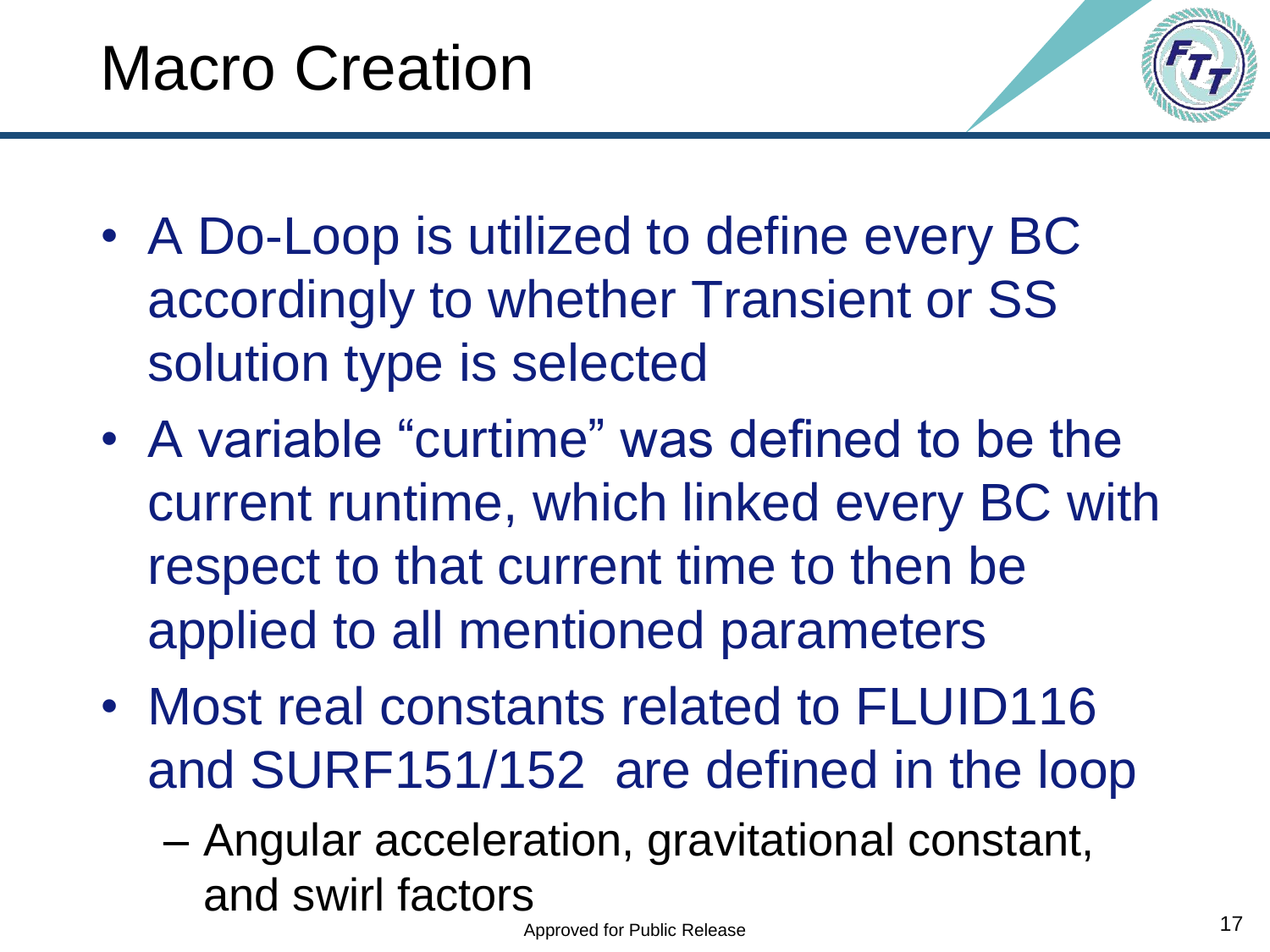![](_page_16_Picture_1.jpeg)

- A Do-Loop is utilized to define every BC accordingly to whether Transient or SS solution type is selected
- A variable "curtime" was defined to be the current runtime, which linked every BC with respect to that current time to then be applied to all mentioned parameters
- Most real constants related to FLUID116 and SURF151/152 are defined in the loop
	- Angular acceleration, gravitational constant, and swirl factors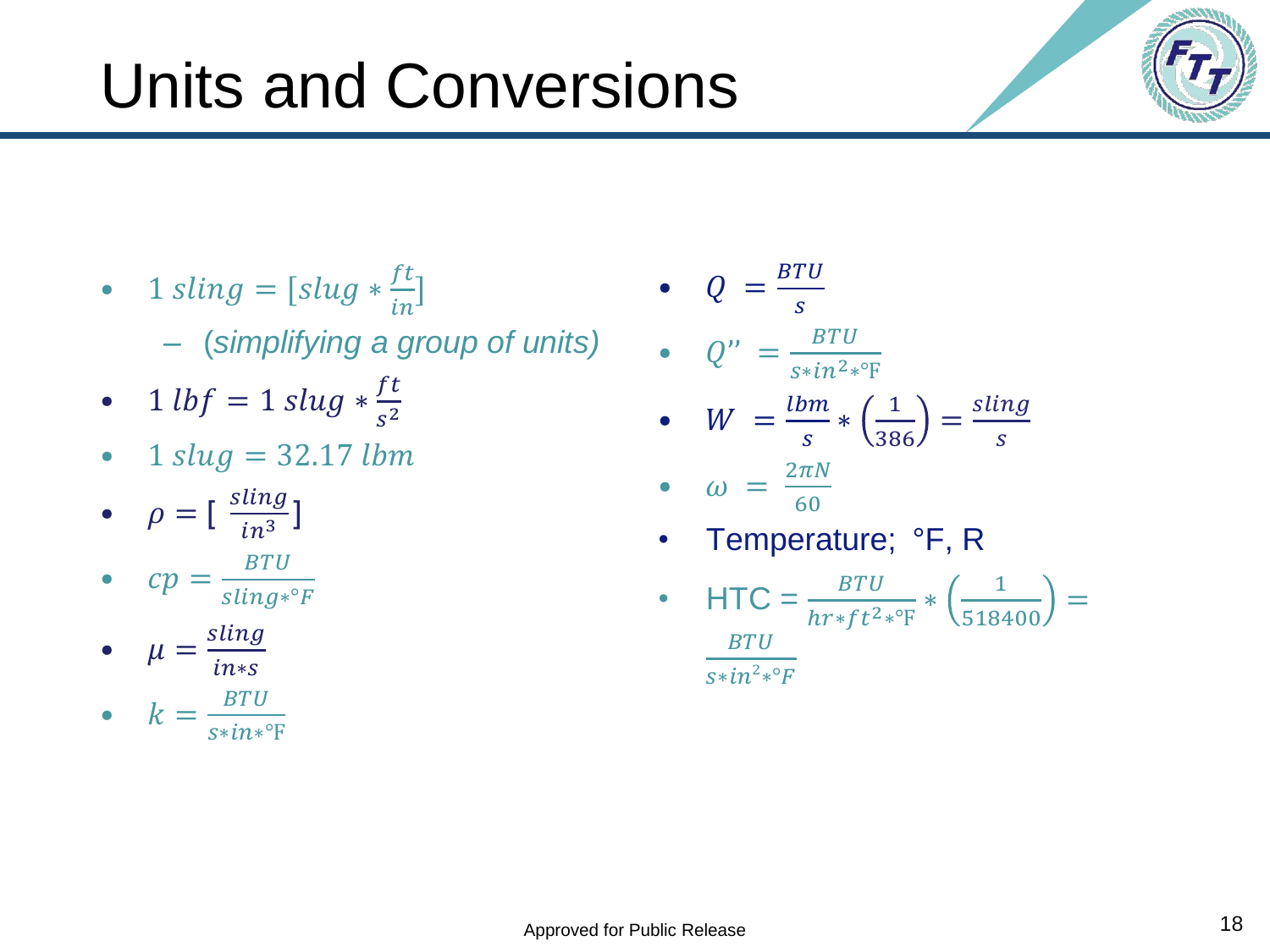#### • 1  $sling = [slug * \frac{ft}{in}]$ – (*simplifying a group of units)* •  $Q = \frac{BTU}{A}$

Units and Conversions

- 1  $\ln f = 1$   $\frac{\sin g * f}{f}$  $s^2$
- $1$   $slug = 32.17$   $lbm$
- $\rho = \left[\begin{array}{c} \frac{\sin \theta}{\sin^3} \end{array}\right]$  $in^3$ ]
- $cp = \frac{BTU}{\sin \pi x}$ sling∗°F

• 
$$
\mu = \frac{\text{sing}}{\text{in}^*\text{s}}
$$

• 
$$
k = \frac{BTU}{s * in*^{\circ}F}
$$

\n- $$
Q'' = \frac{BTU}{s * in^{2} * \mathbb{F}}
$$
\n- $$
W = \frac{lbm}{s} * \left(\frac{1}{386}\right) = \frac{sling}{s}
$$
\n- $$
\omega = \frac{2\pi N}{60}
$$
\n- Temperature;  ${}^{\circ}\mathsf{F}, \mathsf{R}$
\n

• HTC = 
$$
\frac{BTU}{hr * ft^{2} * {}^{o}F} * \left(\frac{1}{518400}\right) = \frac{BTU}{s * in^{2} * {}^{o}F}
$$

![](_page_17_Picture_11.jpeg)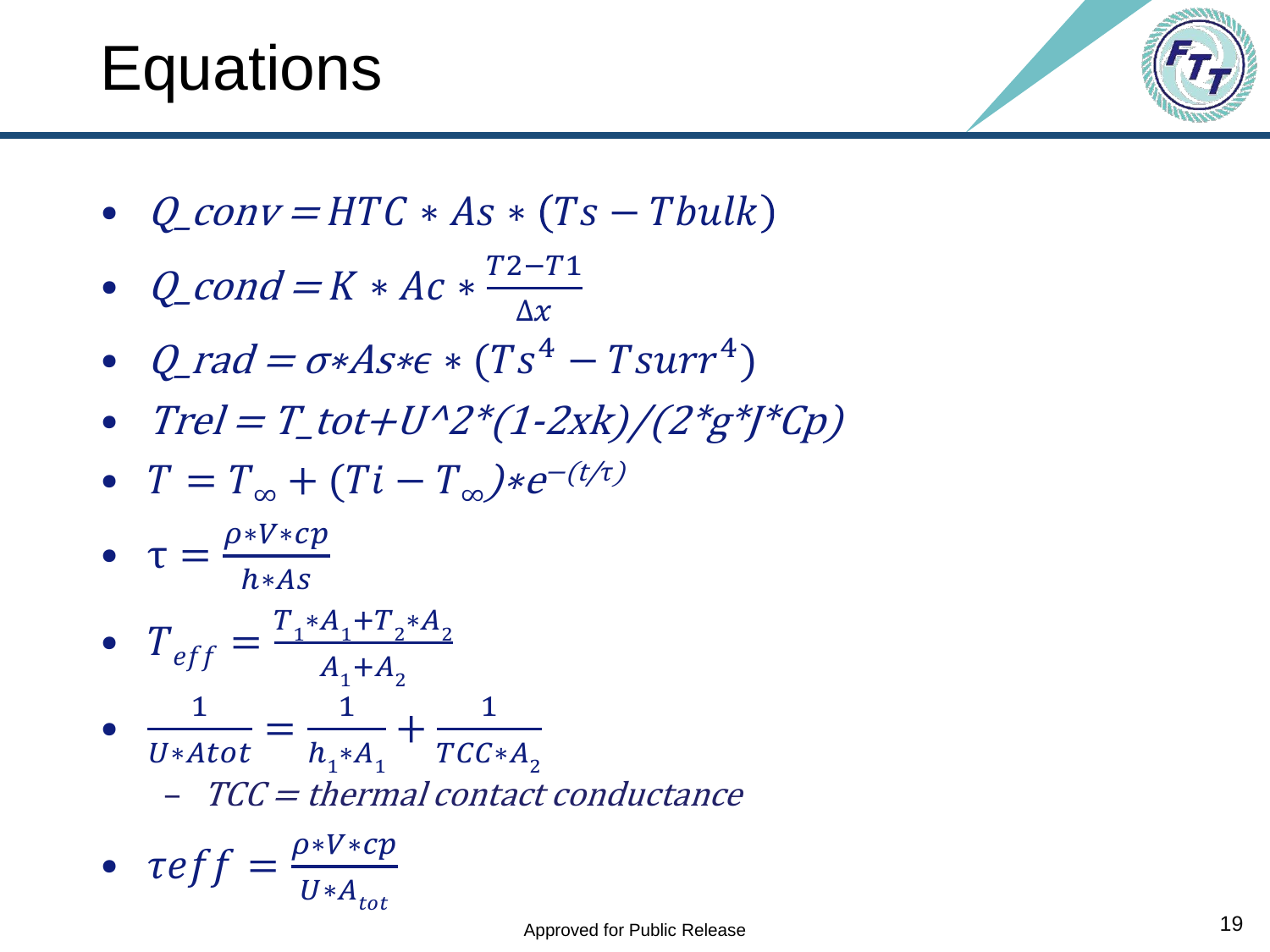### **Equations**

![](_page_18_Picture_1.jpeg)

•  $Q_{conv} = HTC * As * (Ts - Tbulk)$ 

• 
$$
Q\text{-cond} = K * Ac * \frac{T2 - T1}{\Delta x}
$$

- Q\_rad =  $\sigma$ \* $As$ \* $\epsilon$  \*  $(Ts^4 Tsurr^4)$
- $Trel = T_{tot}+U^{2*}(1-2xk)/(2*g^{*})^{*}Cp)$
- $T = T_{\infty} + (Ti T_{\infty}) * e^{-(t/\tau)}$

$$
\bullet \quad \tau = \frac{\rho * V * cp}{h * As}
$$

• 
$$
T_{eff} = \frac{T_1 * A_1 + T_2 * A_2}{A_1 + A_2}
$$

• U\*Atot =  $h_1^*A_1$  $+$  $TCC*A$ <sub>2</sub>  $-TCC = thermal contact conductance$ 

• 
$$
\tau eff = \frac{\rho * V * cp}{U * A_{tot}}
$$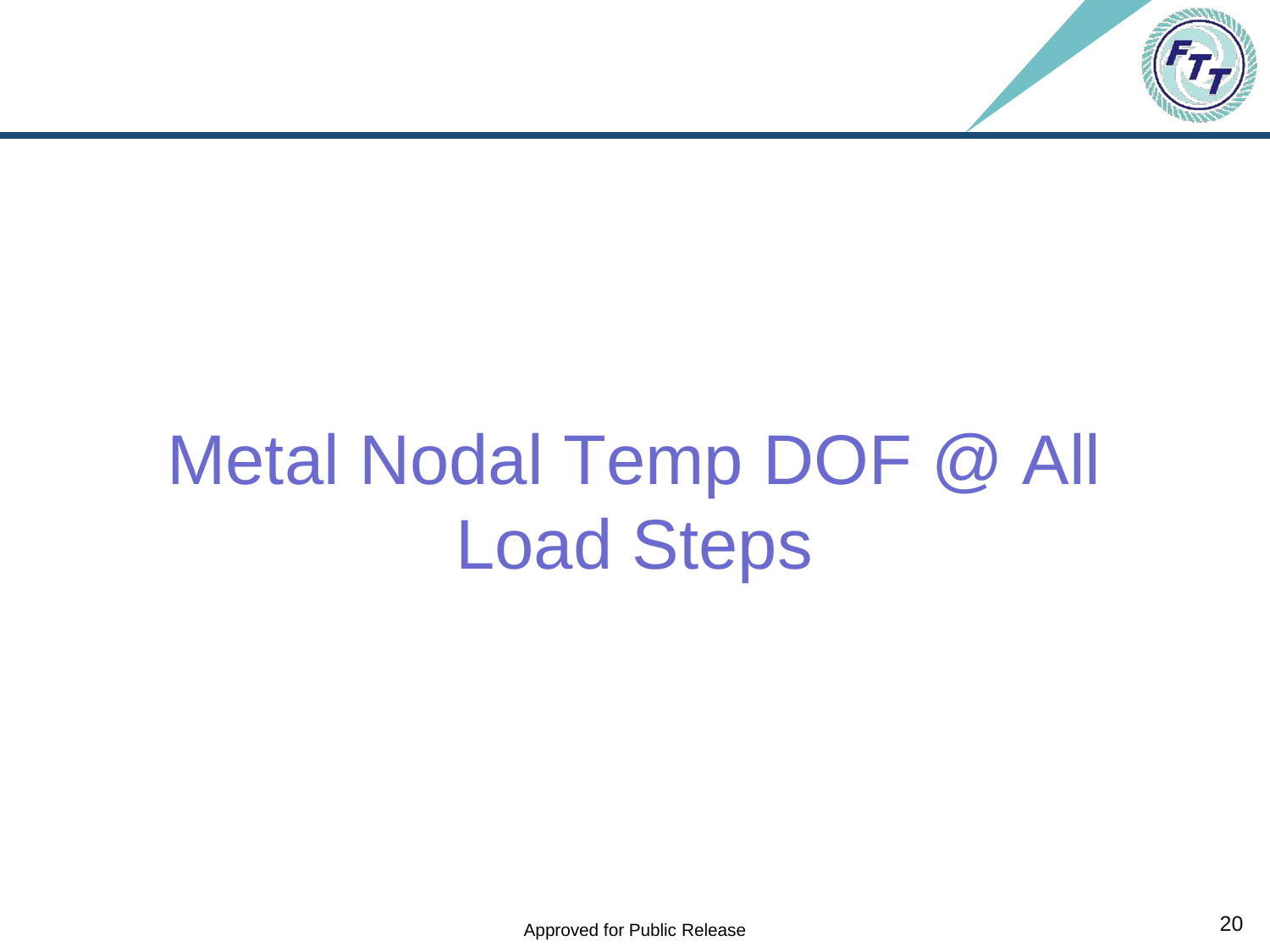![](_page_19_Picture_0.jpeg)

# Metal Nodal Temp DOF @ All Load Steps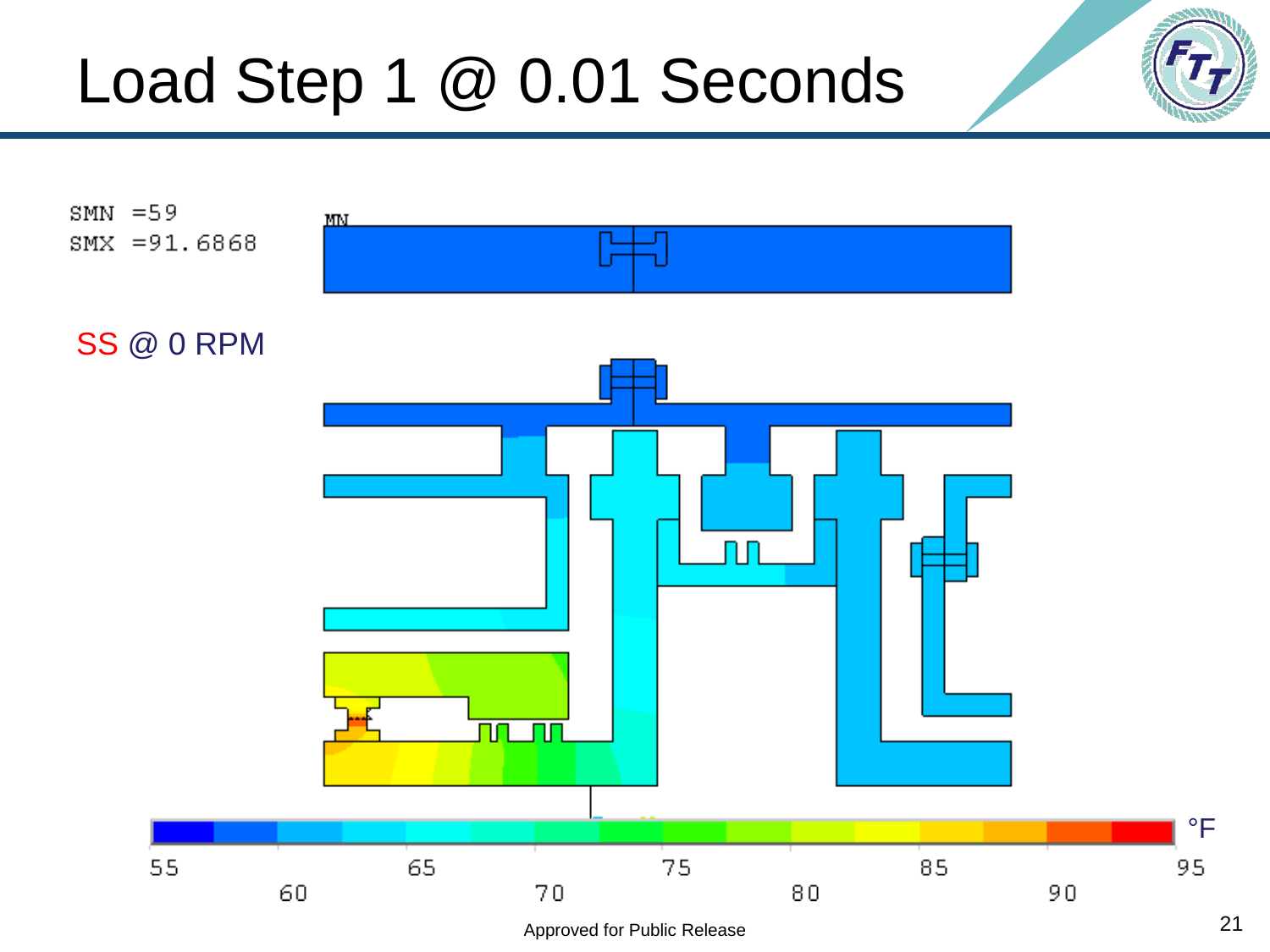### Load Step 1 @ 0.01 Seconds

![](_page_20_Figure_1.jpeg)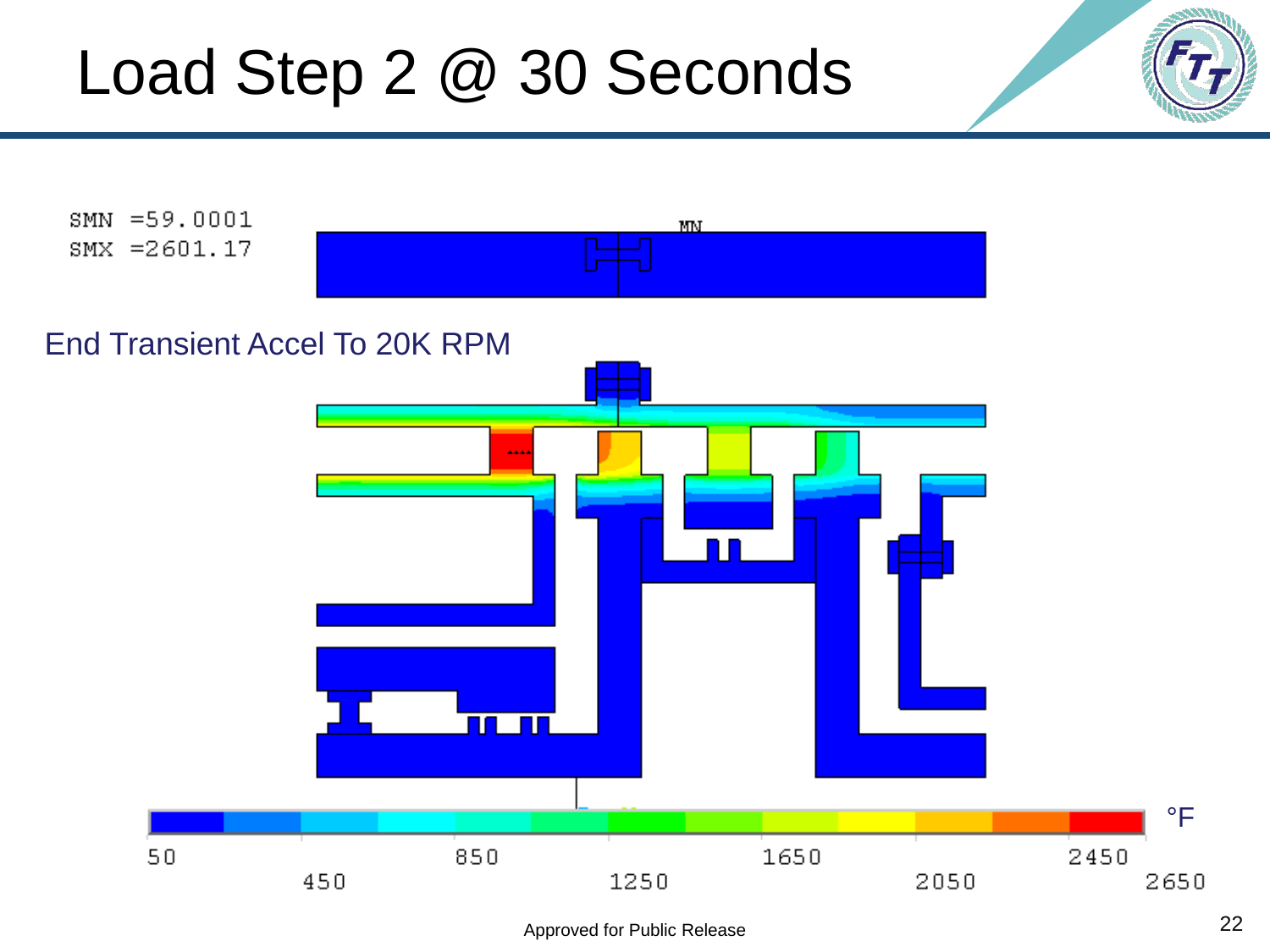#### Load Step 2 @ 30 Seconds

![](_page_21_Figure_1.jpeg)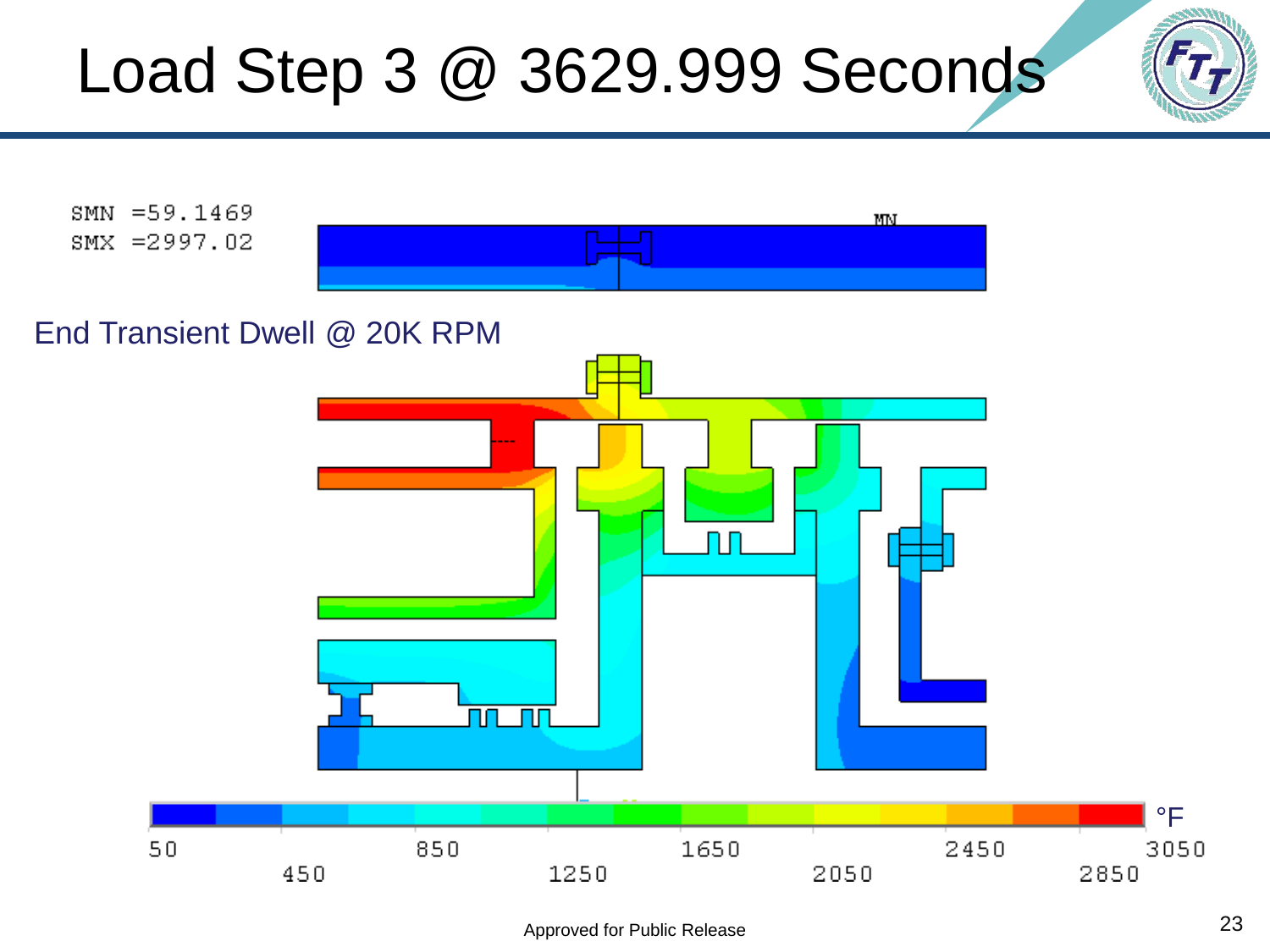## Load Step 3 @ 3629.999 Seconds

![](_page_22_Picture_1.jpeg)

![](_page_22_Figure_2.jpeg)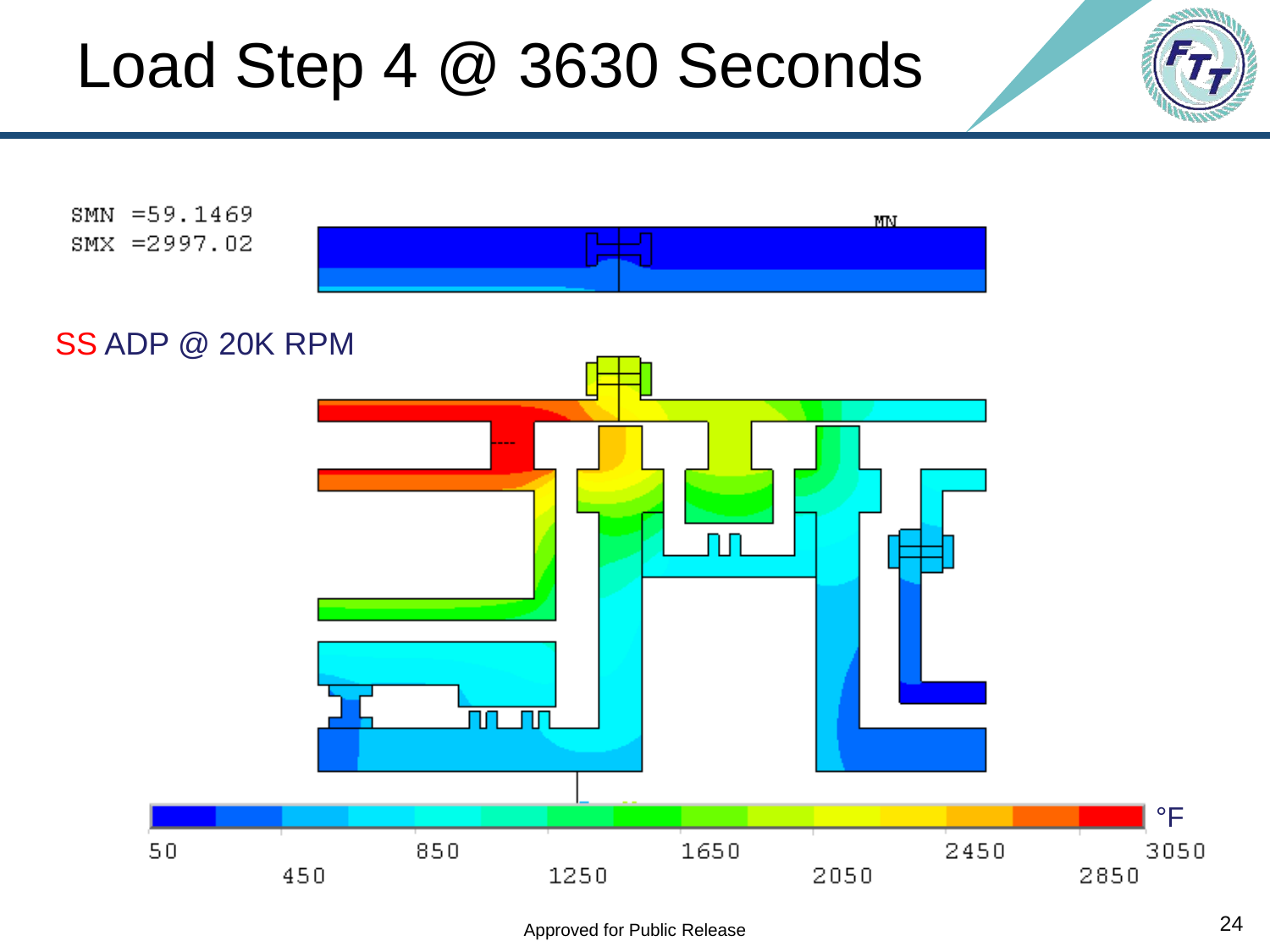#### Load Step 4 @ 3630 Seconds

![](_page_23_Figure_1.jpeg)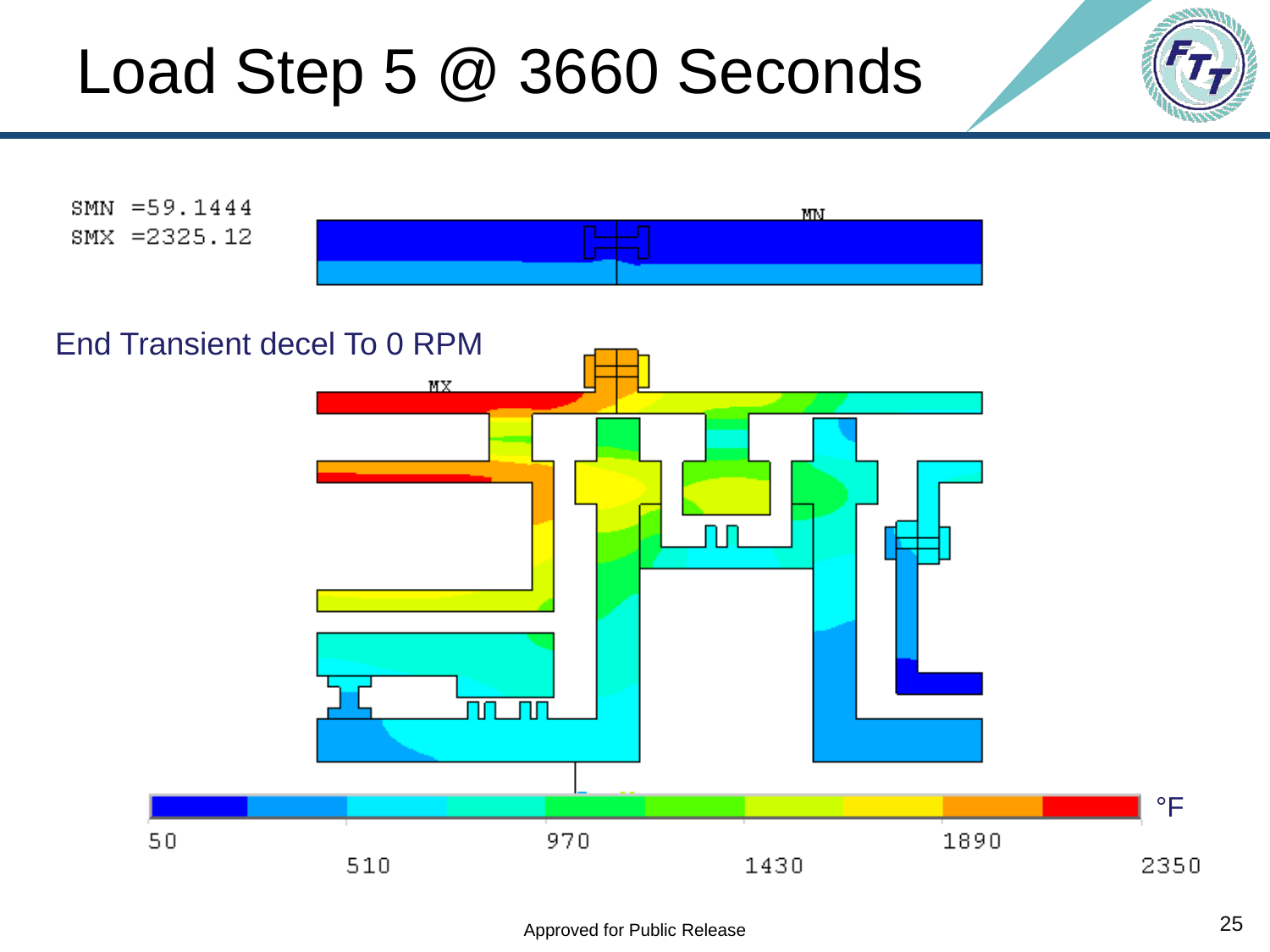#### Load Step 5 @ 3660 Seconds

![](_page_24_Figure_1.jpeg)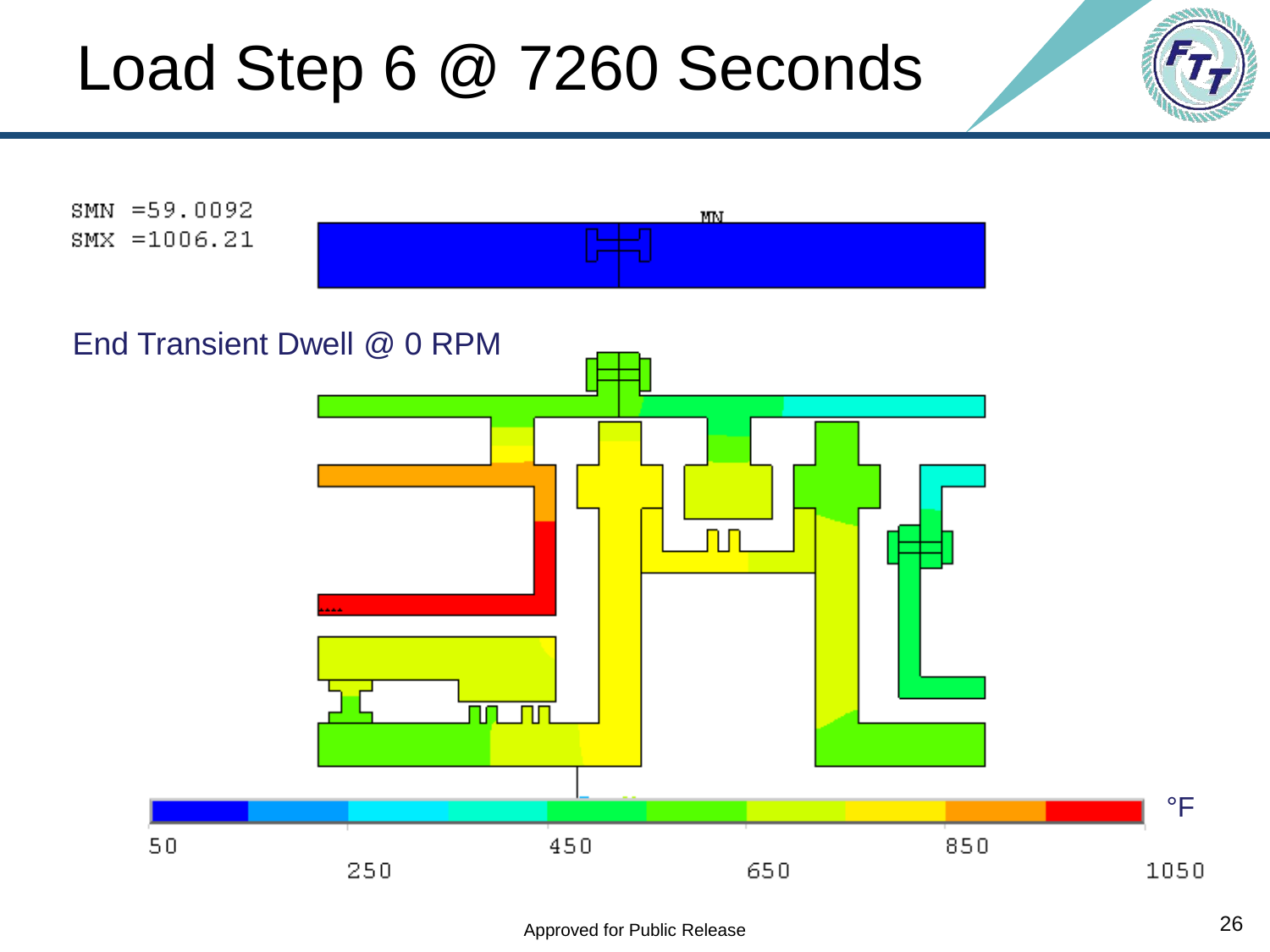#### Load Step 6 @ 7260 Seconds

![](_page_25_Figure_1.jpeg)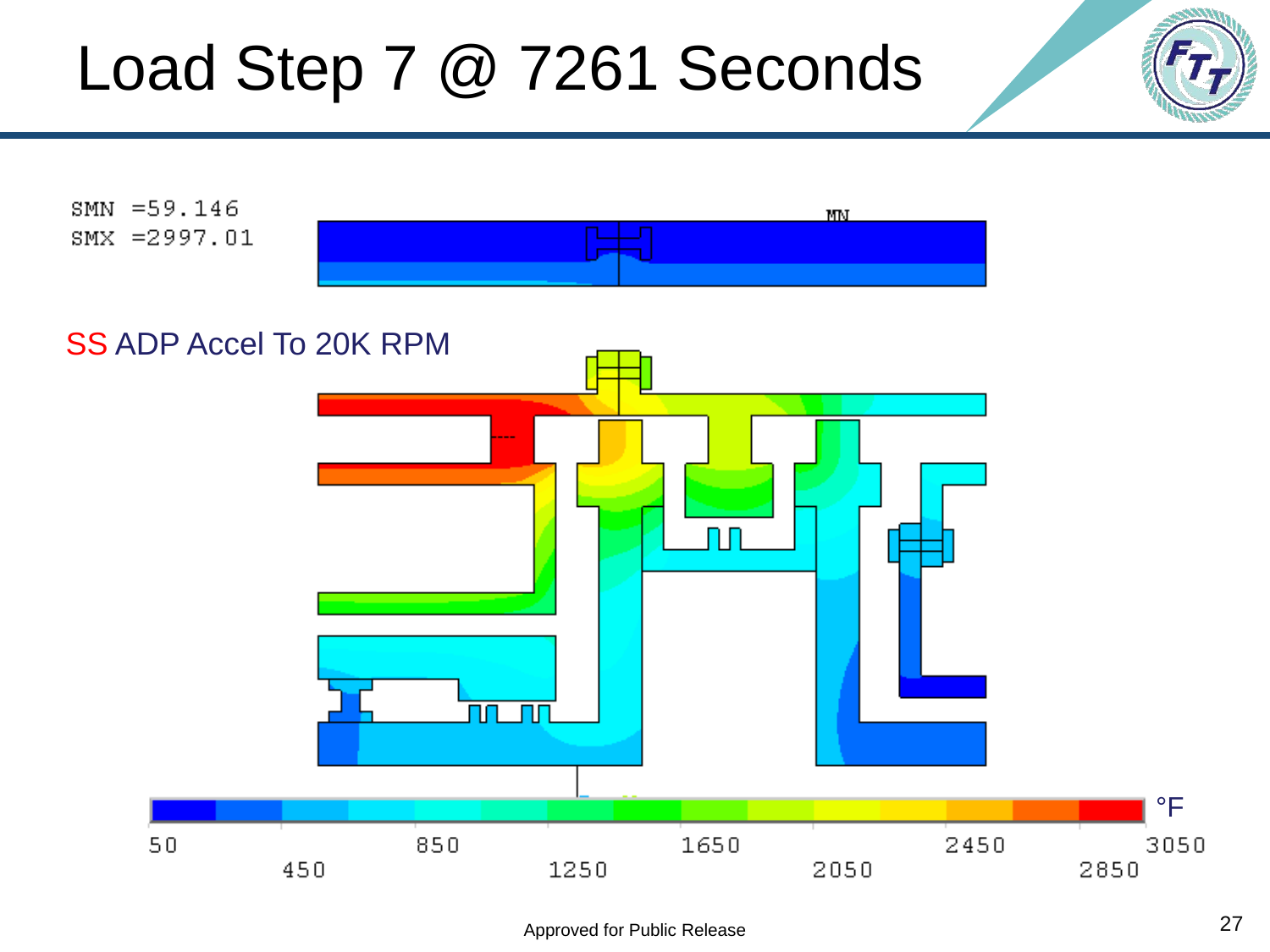### Load Step 7 @ 7261 Seconds

![](_page_26_Figure_1.jpeg)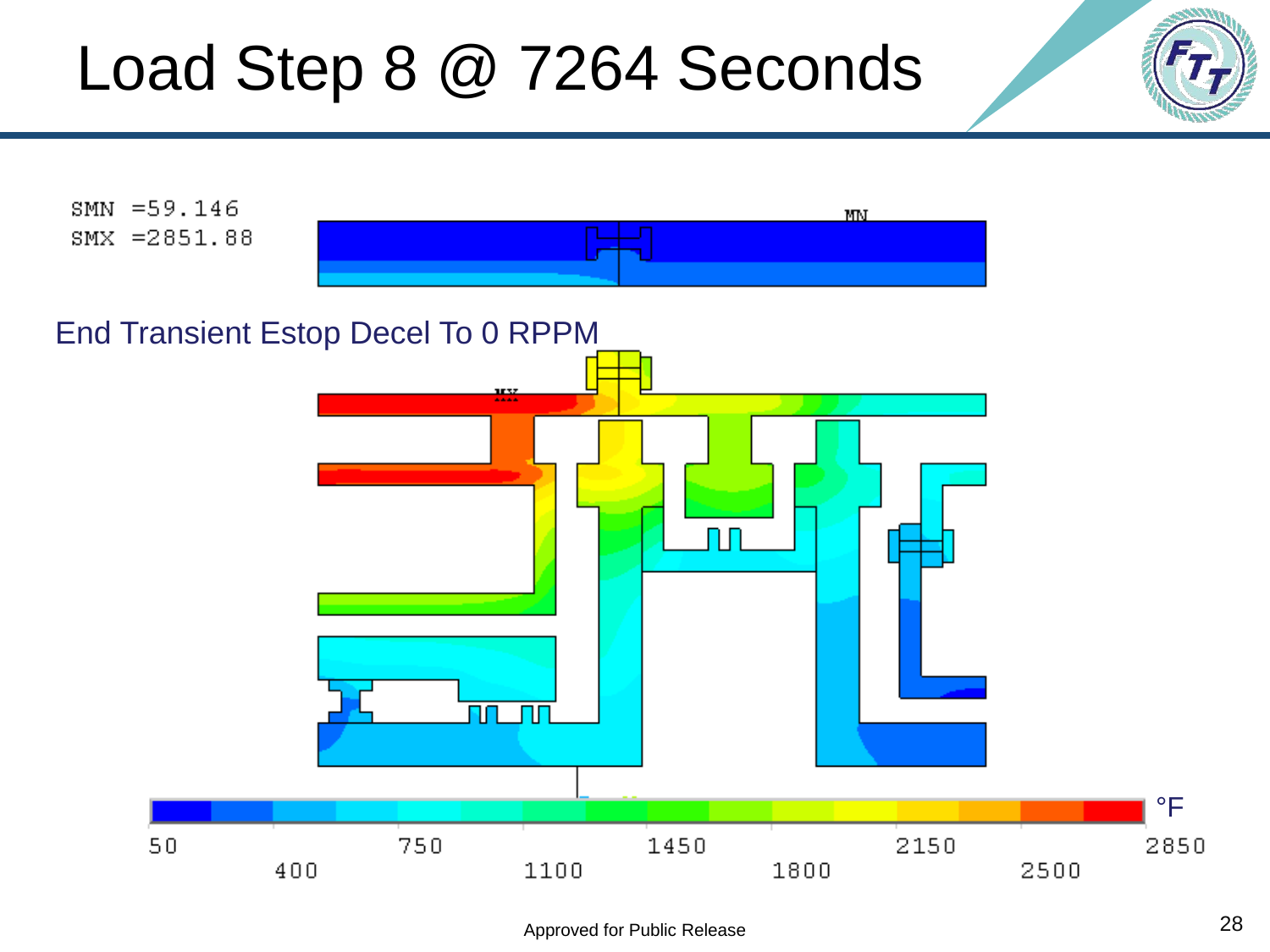### Load Step 8 @ 7264 Seconds

![](_page_27_Figure_1.jpeg)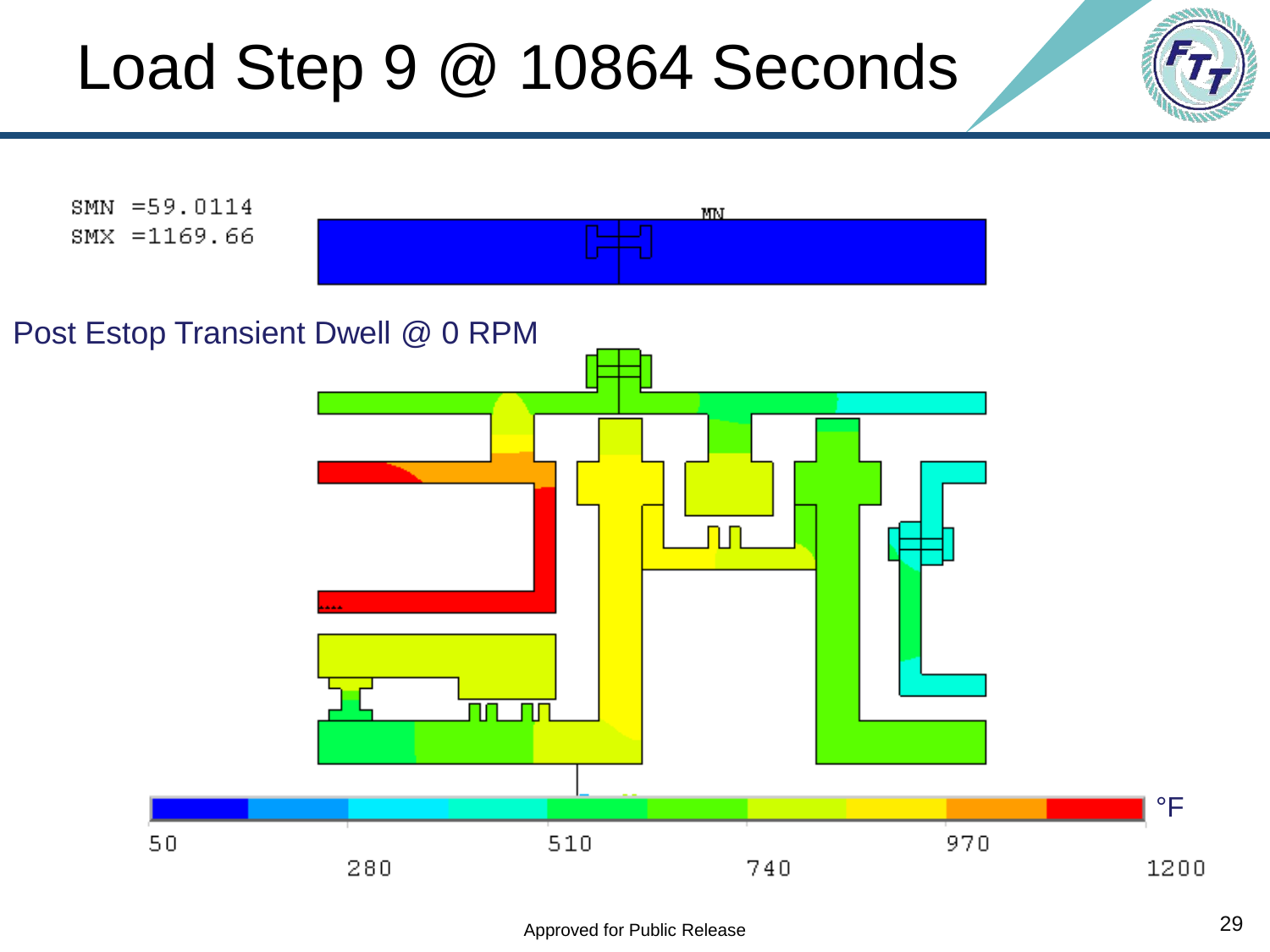#### Load Step 9 @ 10864 Seconds

![](_page_28_Figure_1.jpeg)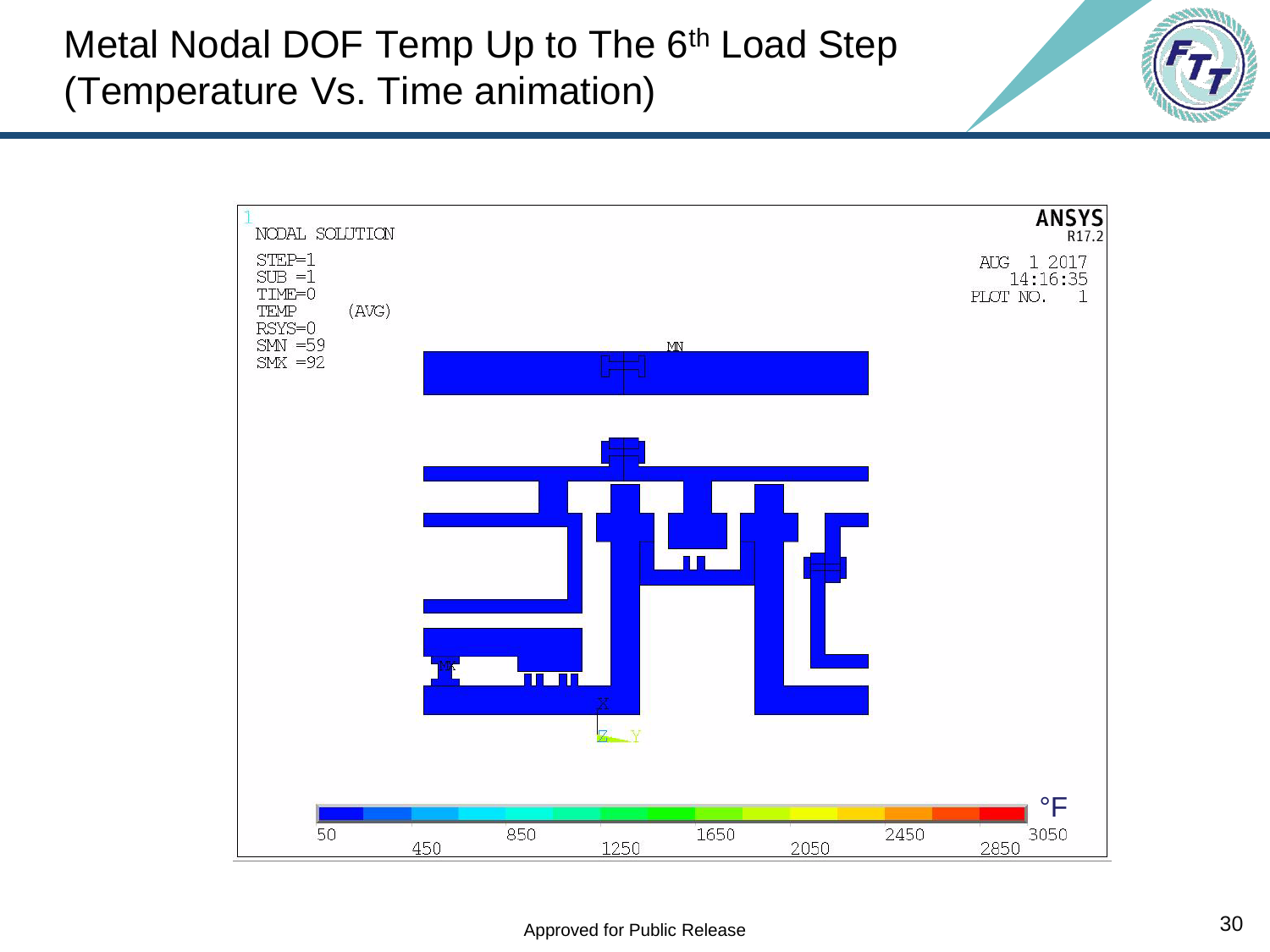Metal Nodal DOF Temp Up to The 6<sup>th</sup> Load Step (Temperature Vs. Time animation)

![](_page_29_Figure_1.jpeg)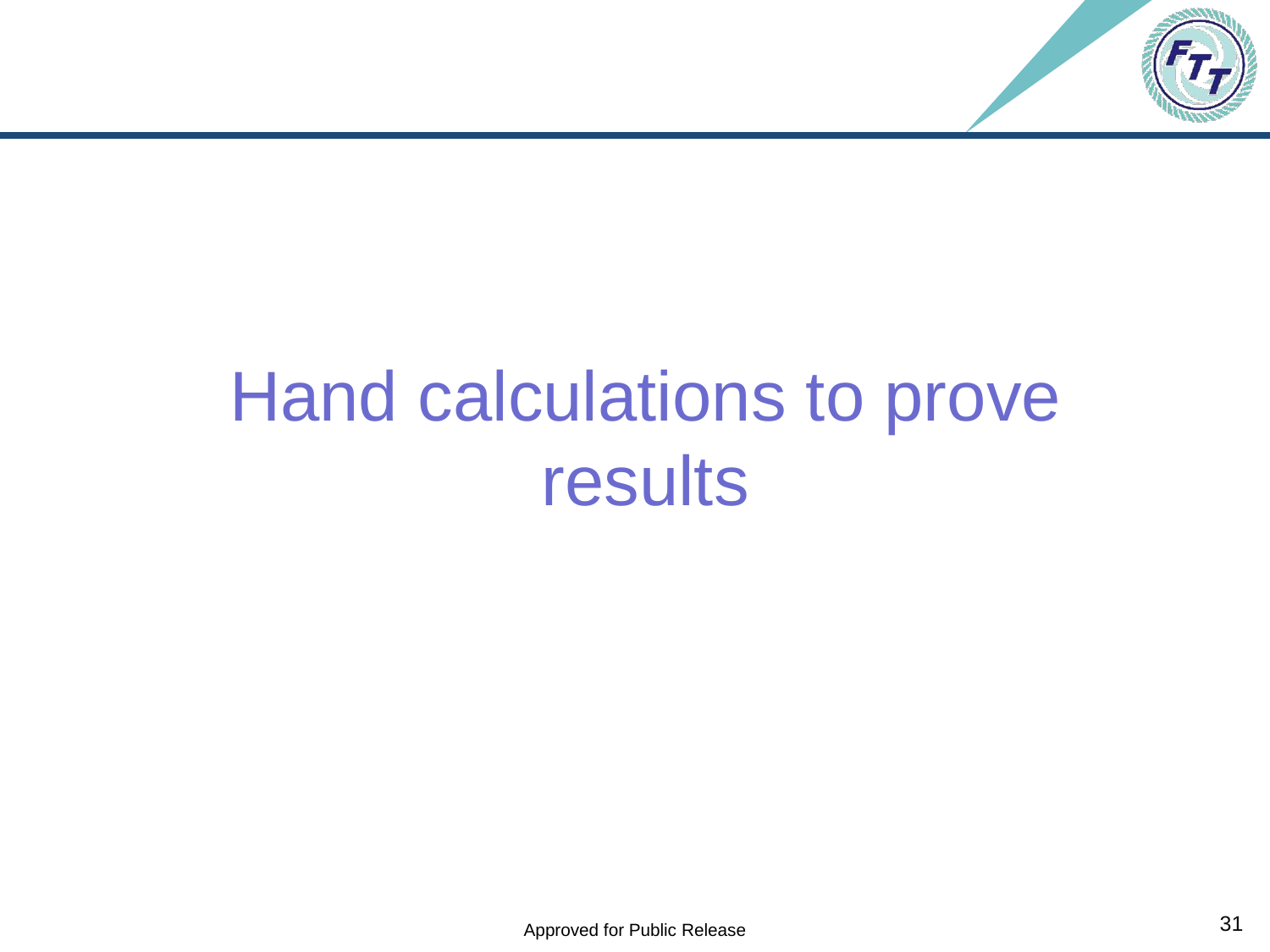![](_page_30_Picture_0.jpeg)

# Hand calculations to prove results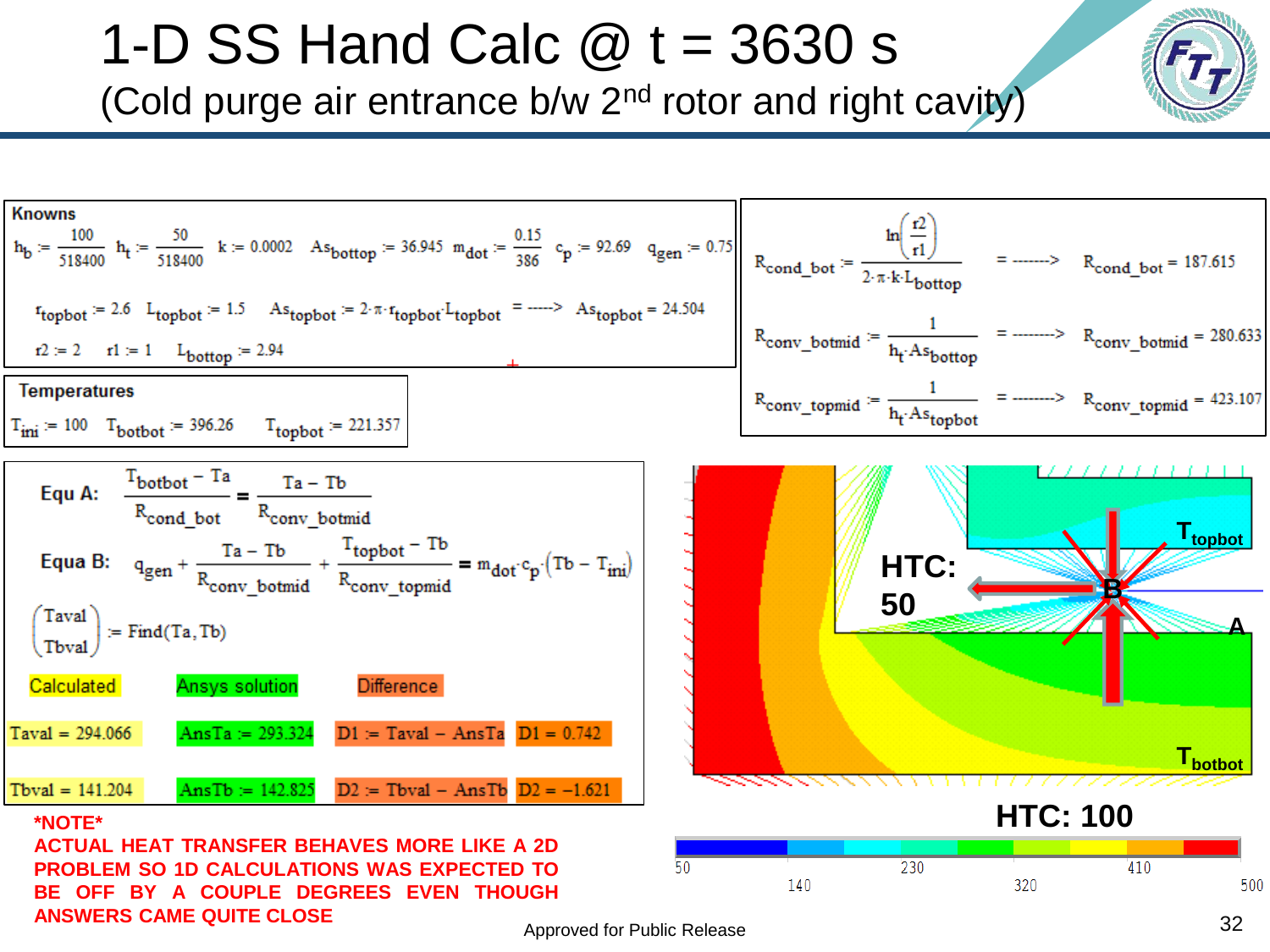1-D SS Hand Calc  $\omega$  t = 3630 s

(Cold purge air entrance b/w 2nd rotor and right cavity)

![](_page_31_Figure_2.jpeg)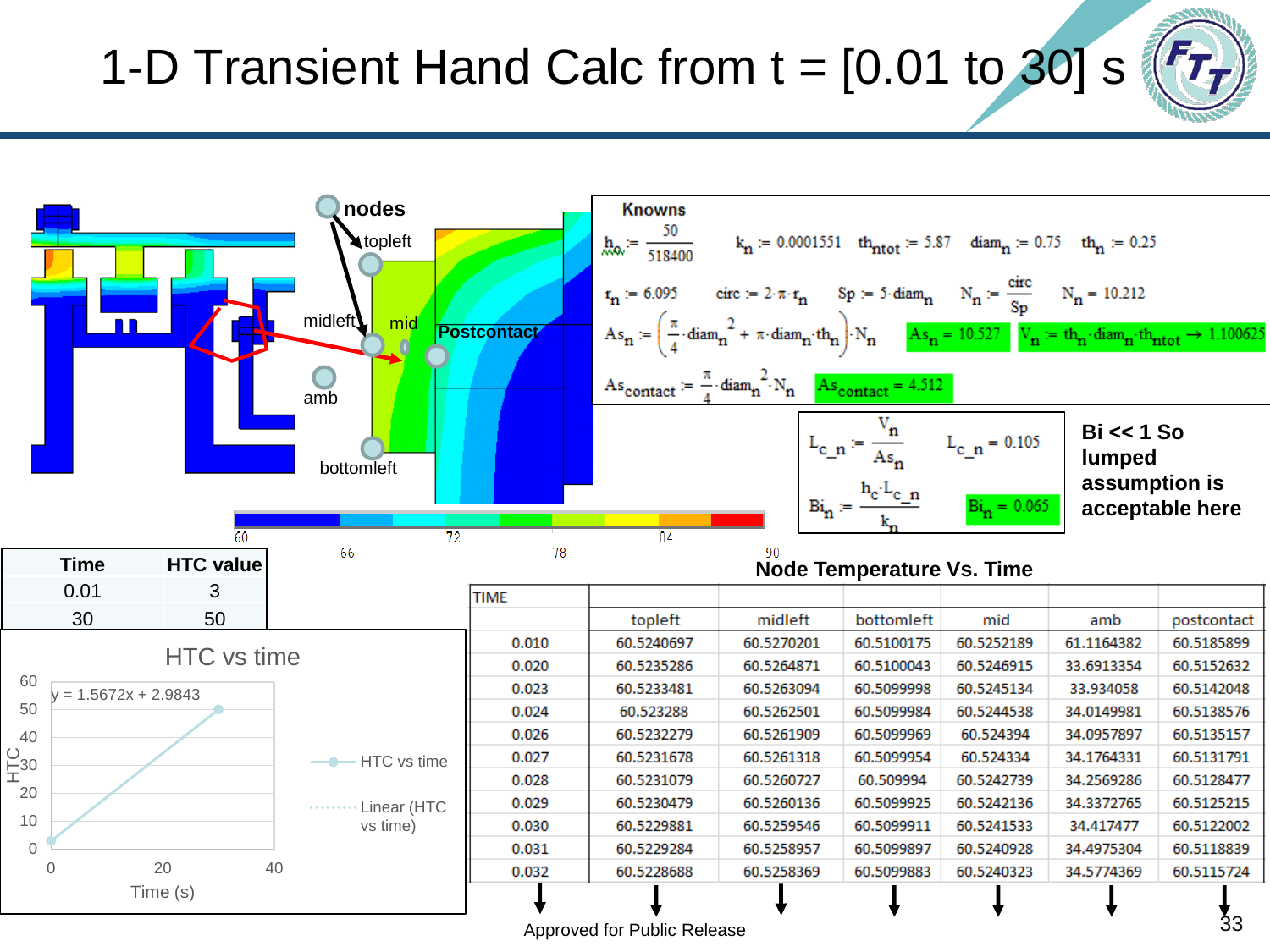#### 1-D Transient Hand Calc from  $t = [0.01$  to 30] s

![](_page_32_Figure_1.jpeg)

![](_page_32_Figure_2.jpeg)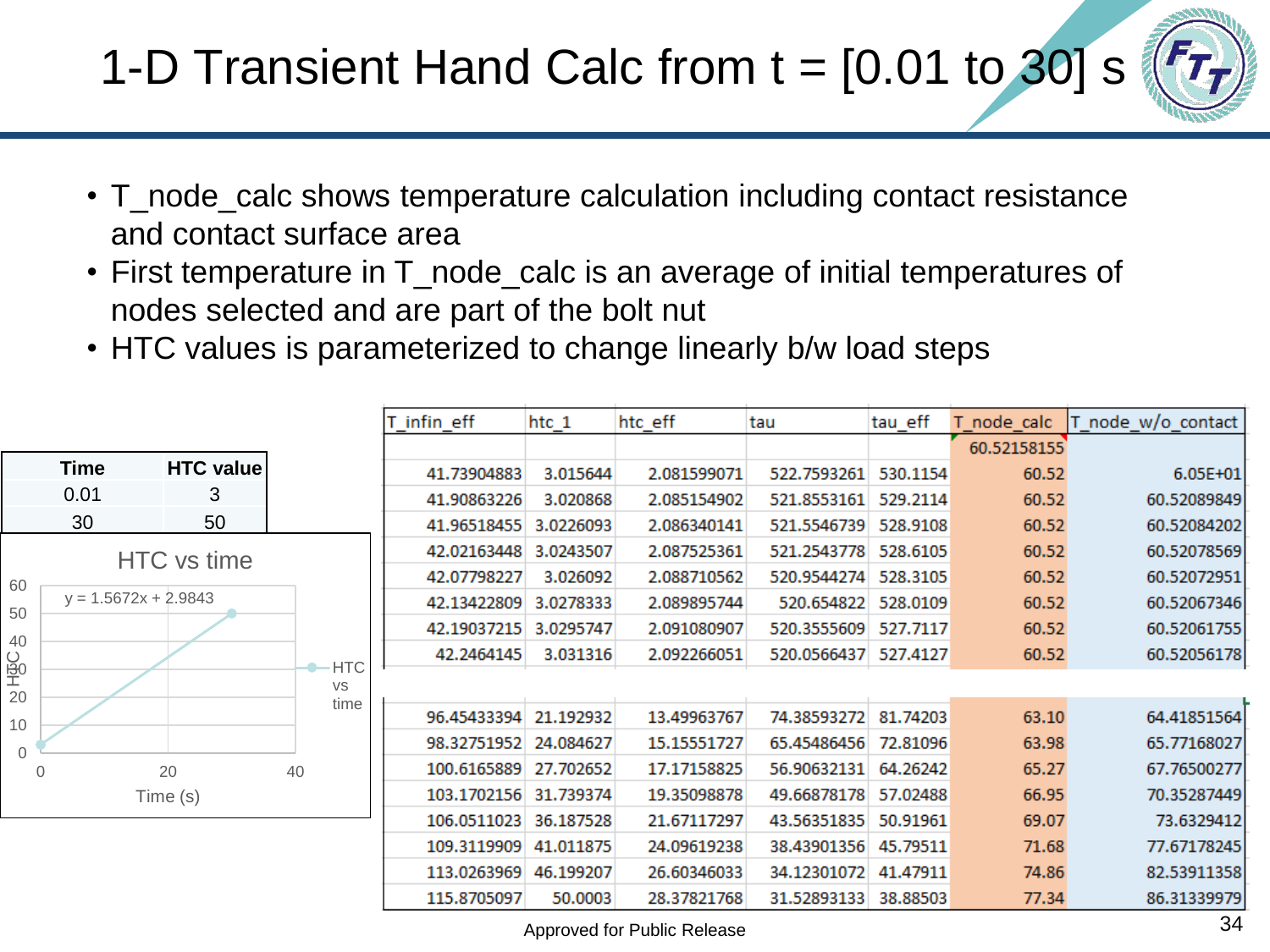#### 1-D Transient Hand Calc from  $t = [0.01$  to 30] s

![](_page_33_Picture_1.jpeg)

- T\_node\_calc shows temperature calculation including contact resistance and contact surface area
- First temperature in T\_node\_calc is an average of initial temperatures of nodes selected and are part of the bolt nut
- HTC values is parameterized to change linearly b/w load steps

|                |                        |                  |             | T_infin_eff           | htc_1       | htc_eff     | tau                  | tau_eff  | T node calc | T node w/o contact |
|----------------|------------------------|------------------|-------------|-----------------------|-------------|-------------|----------------------|----------|-------------|--------------------|
|                |                        |                  |             |                       |             |             |                      |          | 60.52158155 |                    |
|                | <b>Time</b>            | <b>HTC</b> value |             | 41.73904883           | 3.015644    | 2.081599071 | 522.7593261          | 530.1154 | 60.52       | $6.05E + 01$       |
|                | 0.01                   | 3                |             | 41.90863226           | 3.020868    | 2.085154902 | 521.8553161 529.2114 |          | 60.52       | 60.52089849        |
|                | 30                     | 50               |             | 41.96518455           | 3.0226093   | 2.086340141 | 521.5546739          | 528.9108 | 60.52       | 60.52084202        |
|                | HTC vs time            |                  |             | 42.02163448           | 3.0243507   | 2.087525361 | 521.2543778          | 528.6105 | 60.52       | 60.52078569        |
| 60             |                        |                  |             | 42.07798227           | 3.026092    | 2.088710562 | 520.9544274          | 528.3105 | 60.52       | 60.52072951        |
| 50             | $y = 1.5672x + 2.9843$ |                  |             | 42.13422809           | 3.0278333   | 2.089895744 | 520.654822           | 528.0109 | 60.52       | 60.52067346        |
|                |                        |                  |             | 42.19037215           | 3.0295747   | 2.091080907 | 520.3555609          | 527.7117 | 60.52       | 60.52061755        |
| 40             |                        |                  | <b>HTC</b>  | 42.2464145            | 3.031316    | 2.092266051 | 520.0566437 527.4127 |          | 60.52       | 60.52056178        |
| $\frac{1}{20}$ |                        |                  | VS          |                       |             |             |                      |          |             |                    |
| 10             |                        |                  | time        | 96.45433394 21.192932 |             | 13.49963767 | 74.38593272          | 81.74203 | 63.10       | 64.41851564        |
| $\mathbf{0}$   |                        |                  |             | 98.32751952 24.084627 |             | 15.15551727 | 65.45486456          | 72.81096 | 63.98       | 65.77168027        |
| 0              |                        | 20<br>40         |             | 100.6165889 27.702652 |             | 17.17158825 | 56.90632131 64.26242 |          | 65.27       | 67.76500277        |
| Time (s)       |                        |                  |             | 103.1702156 31.739374 |             | 19.35098878 | 49.66878178          | 57.02488 | 66.95       | 70.35287449        |
|                |                        |                  | 106.0511023 | 36.187528             | 21.67117297 | 43.56351835 | 50.91961             | 69.07    | 73.6329412  |                    |
|                |                        |                  |             | 109.3119909           | 41.011875   | 24.09619238 | 38.43901356          | 45.79511 | 71.68       | 77.67178245        |
|                |                        |                  |             | 113.0263969           | 46.199207   | 26.60346033 | 34.12301072          | 41.47911 | 74.86       | 82.53911358        |
|                |                        |                  |             | 115.8705097           | 50.0003     | 28.37821768 | 31.52893133          | 38.88503 | 77.34       | 86.31339979        |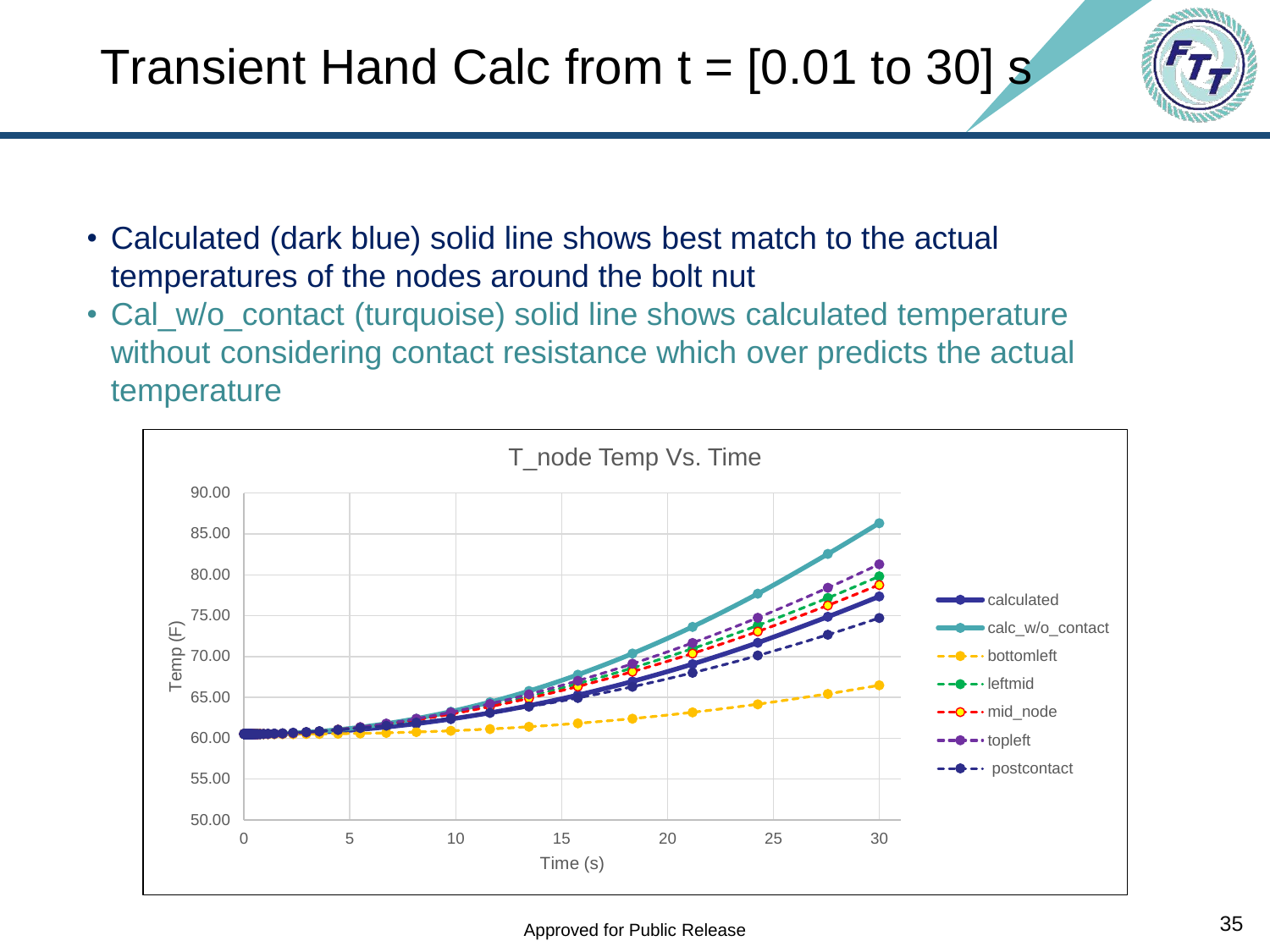![](_page_34_Picture_1.jpeg)

- Calculated (dark blue) solid line shows best match to the actual temperatures of the nodes around the bolt nut
- Cal\_w/o\_contact (turquoise) solid line shows calculated temperature without considering contact resistance which over predicts the actual temperature

![](_page_34_Figure_4.jpeg)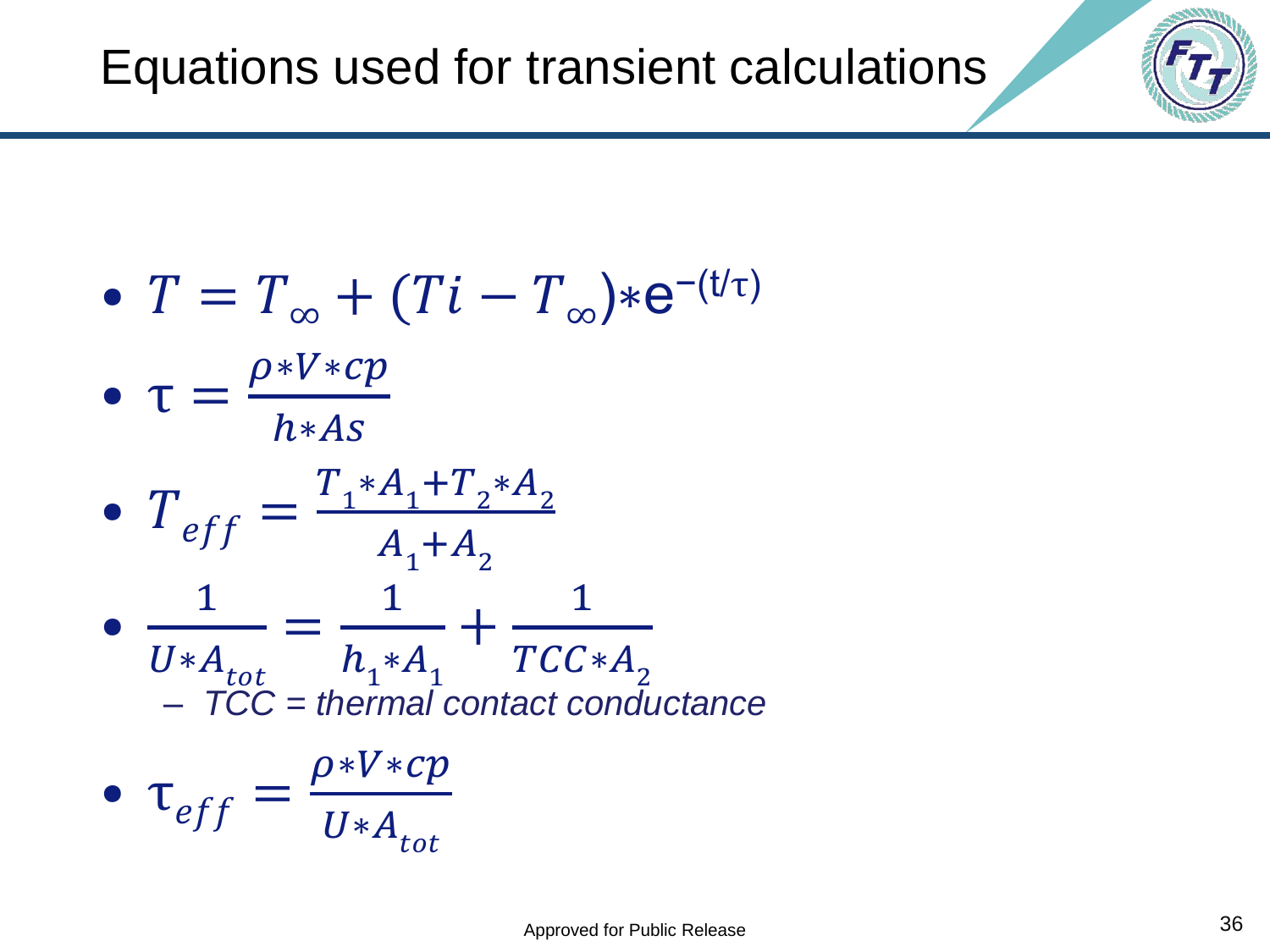![](_page_35_Figure_1.jpeg)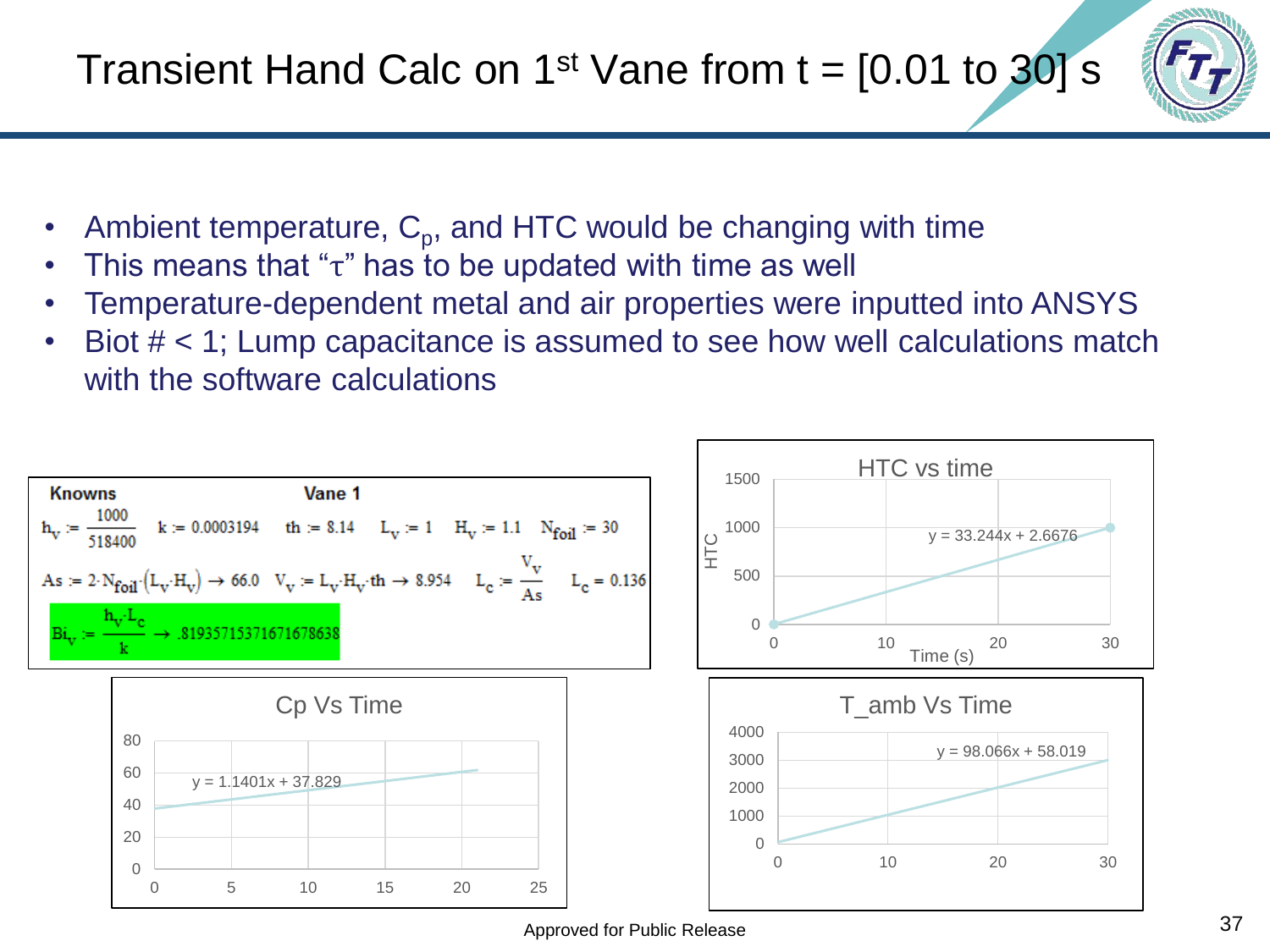![](_page_36_Picture_1.jpeg)

- Ambient temperature,  $C_{p}$ , and HTC would be changing with time
- This means that " $\tau$ " has to be updated with time as well
- Temperature-dependent metal and air properties were inputted into ANSYS
- Biot  $#$  < 1; Lump capacitance is assumed to see how well calculations match with the software calculations

![](_page_36_Figure_6.jpeg)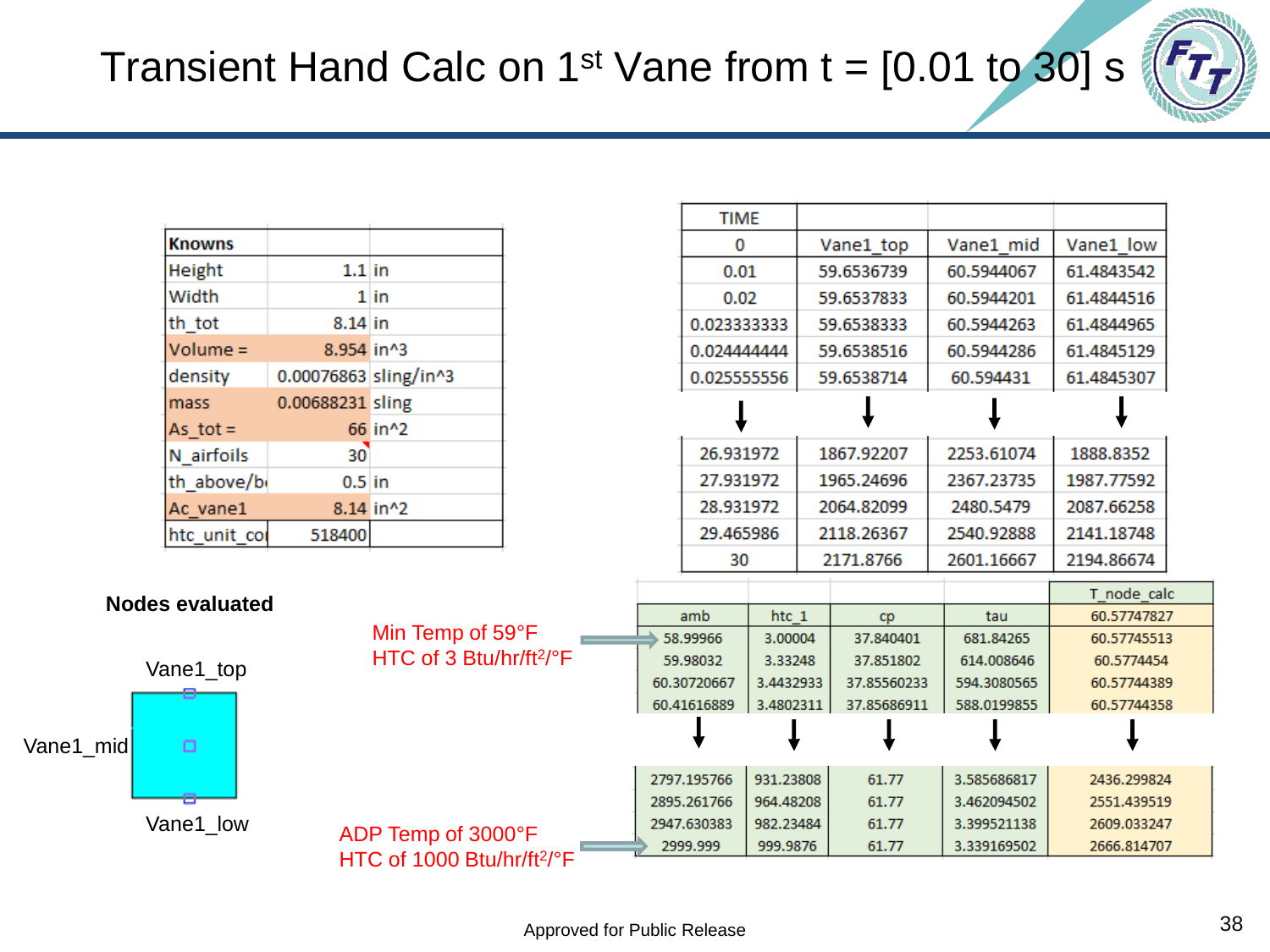![](_page_37_Picture_1.jpeg)

| <b>Knowns</b> |                       |           |  |  |
|---------------|-----------------------|-----------|--|--|
| Height        | $1.1$ in              |           |  |  |
| Width         |                       | $1$ in    |  |  |
| th tot        | $8.14$ in             |           |  |  |
| $Volume =$    | 8.954 in^3            |           |  |  |
| density       | 0.00076863 sling/in^3 |           |  |  |
| mass          | 0.00688231 sling      |           |  |  |
| As tot $=$    |                       | 66 in^2   |  |  |
| N airfoils    | $30^{\circ}$          |           |  |  |
| th above/b    | $0.5$ in              |           |  |  |
| Ac vane1      |                       | 8.14 in^2 |  |  |
| htc unit cor  | 518400                |           |  |  |

Vane1\_top

 $\Box$ 

**Nodes evaluated**

Vane1\_low

Vane1\_mid

|                                                    |                                                  | <b>TIME</b>                               |                                 |                                        |             |             |                                          |  |
|----------------------------------------------------|--------------------------------------------------|-------------------------------------------|---------------------------------|----------------------------------------|-------------|-------------|------------------------------------------|--|
|                                                    |                                                  | 0                                         |                                 |                                        | Vane1 top   | Vane1 mid   | Vane1 low                                |  |
|                                                    | 0.01<br>0.02                                     |                                           | 59.6536739                      |                                        | 60.5944067  | 61.4843542  |                                          |  |
|                                                    |                                                  |                                           | 59.6537833                      |                                        | 60.5944201  | 61.4844516  |                                          |  |
|                                                    |                                                  | 0.023333333<br>0.024444444<br>0.025555556 |                                 | 59.6538333<br>59.6538516<br>59.6538714 |             | 60.5944263  | 61.4844965<br>61.4845129<br>61.4845307   |  |
|                                                    |                                                  |                                           |                                 |                                        |             | 60.5944286  |                                          |  |
|                                                    |                                                  |                                           |                                 |                                        |             | 60.594431   |                                          |  |
|                                                    |                                                  |                                           |                                 |                                        |             |             |                                          |  |
|                                                    | 26.931972<br>27.931972<br>28.931972<br>29.465986 |                                           | 1867.92207                      |                                        | 2253.61074  | 1888.8352   |                                          |  |
|                                                    |                                                  |                                           |                                 | 1965.24696<br>2064.82099               |             | 2367.23735  | 1987.77592<br>2087.66258                 |  |
|                                                    |                                                  |                                           |                                 |                                        |             | 2480.5479   |                                          |  |
|                                                    |                                                  |                                           |                                 |                                        | 2118.26367  | 2540.92888  | 2141.18748                               |  |
| 30                                                 |                                                  |                                           |                                 | 2171.8766                              | 2601.16667  | 2194.86674  |                                          |  |
|                                                    |                                                  |                                           |                                 |                                        |             |             | T node calc                              |  |
| amb                                                |                                                  | htc 1                                     |                                 | cp                                     | tau         | 60.57747827 |                                          |  |
| 58.99966<br>59.98032<br>60.30720667<br>60.41616889 |                                                  |                                           | 3.00004<br>3.33248<br>3.4432933 |                                        | 37.840401   | 681.84265   | 60.57745513<br>60.5774454<br>60.57744389 |  |
|                                                    |                                                  |                                           |                                 |                                        | 37.851802   | 614.008646  |                                          |  |
|                                                    |                                                  |                                           |                                 |                                        | 37.85560233 | 594.3080565 |                                          |  |
|                                                    |                                                  | 3.4802311                                 |                                 | 37.85686911                            | 588.0199855 | 60.57744358 |                                          |  |
|                                                    |                                                  |                                           |                                 |                                        |             |             |                                          |  |
| 2797.195766<br>2895.261766                         |                                                  | 931.23808                                 |                                 | 61.77                                  | 3.585686817 | 2436.299824 |                                          |  |
|                                                    |                                                  |                                           | 964.48208                       |                                        | 61.77       | 3.462094502 | 2551.439519                              |  |
|                                                    |                                                  | 2947.630383                               | 982.23484                       |                                        | 61.77       | 3.399521138 | 2609.033247                              |  |
| 2999.999                                           |                                                  | 999.9876                                  |                                 | 61.77                                  | 3.339169502 | 2666.814707 |                                          |  |

![](_page_37_Figure_4.jpeg)

Min Temp of 59°F HTC of 3 Btu/hr/ft<sup>2</sup>/°F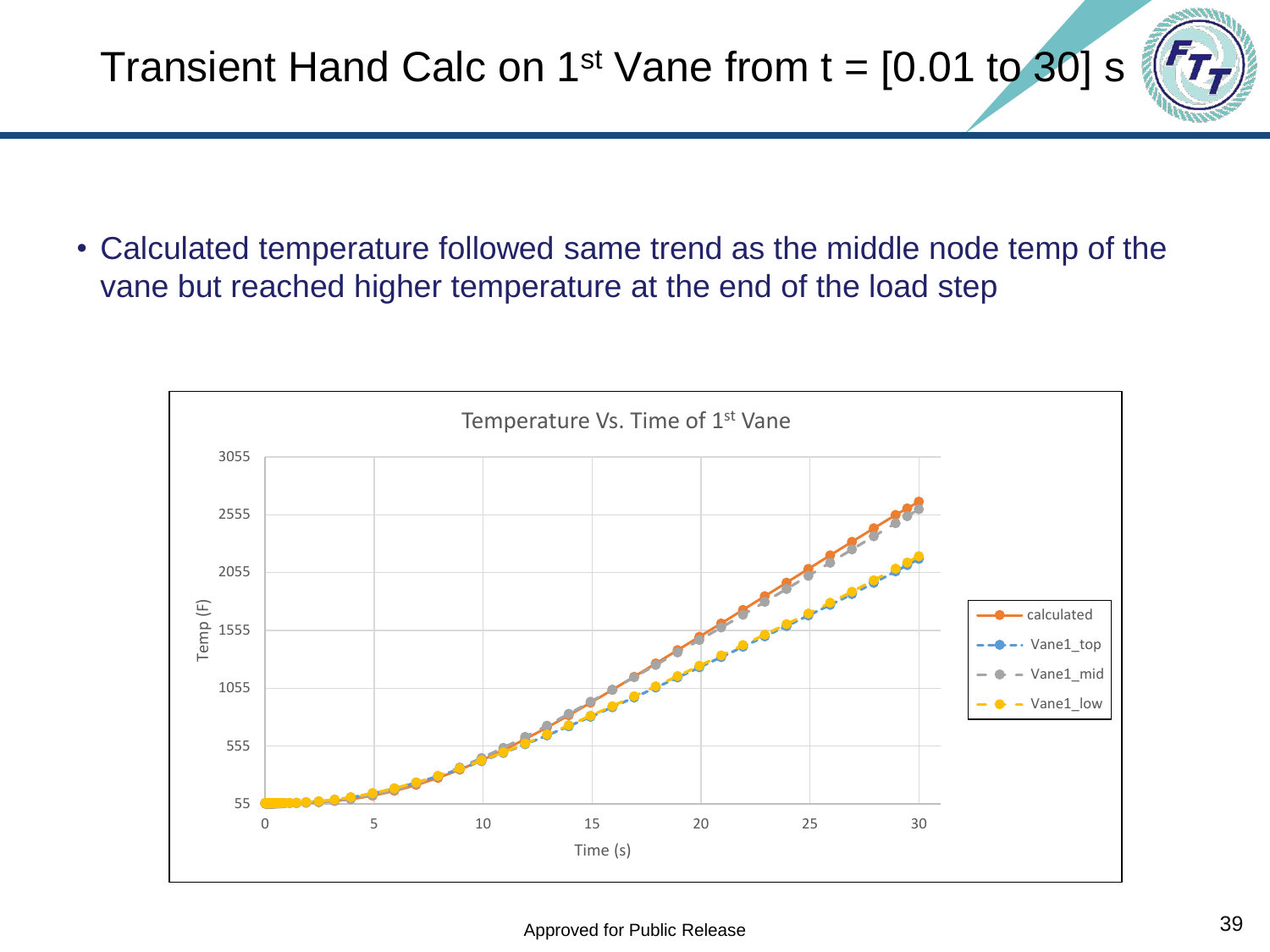Transient Hand Calc on 1<sup>st</sup> Vane from  $t = [0.01$  to 30] s

• Calculated temperature followed same trend as the middle node temp of the vane but reached higher temperature at the end of the load step

![](_page_38_Figure_3.jpeg)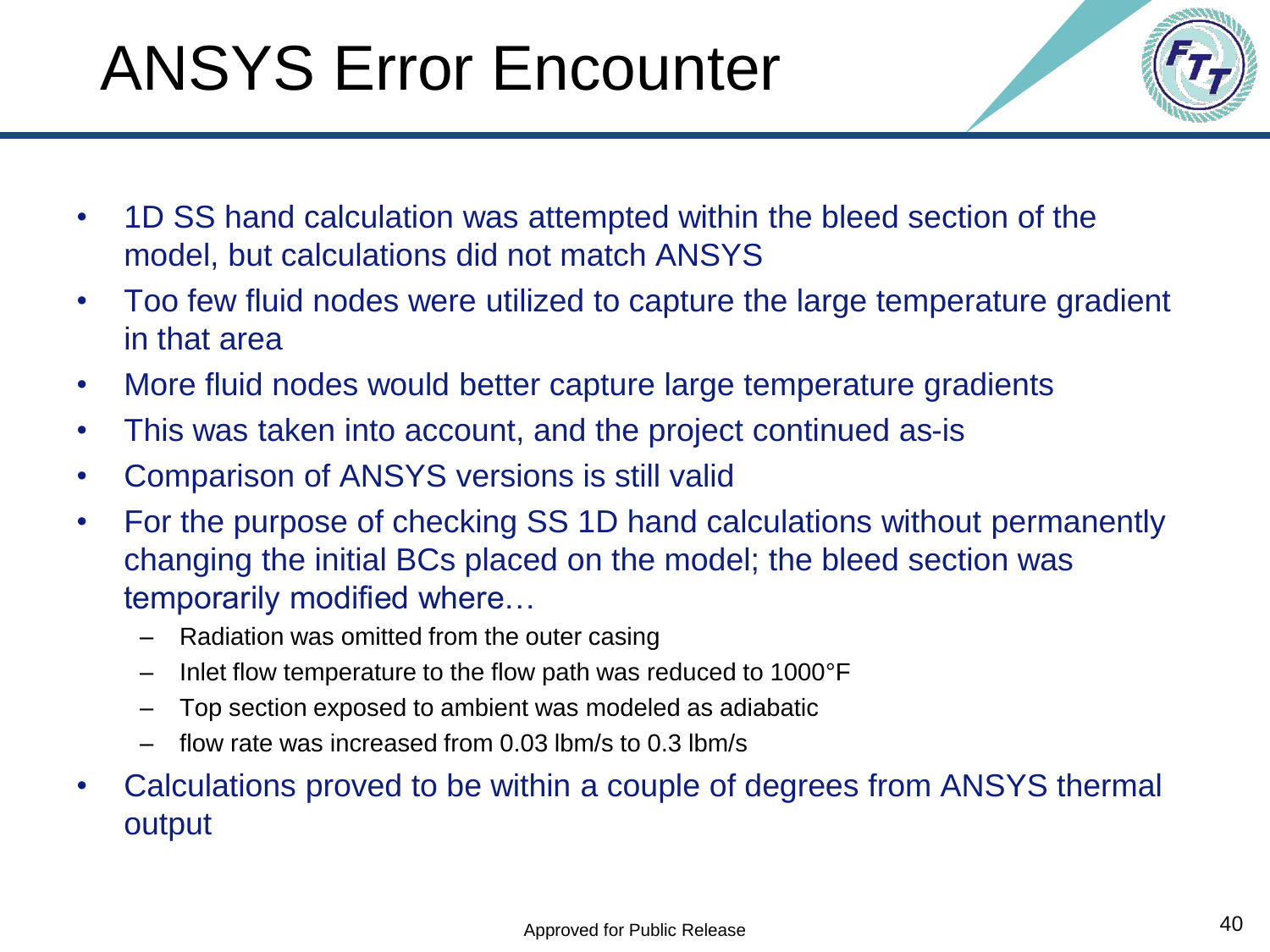## ANSYS Error Encounter

- 
- 1D SS hand calculation was attempted within the bleed section of the model, but calculations did not match ANSYS
- Too few fluid nodes were utilized to capture the large temperature gradient in that area
- More fluid nodes would better capture large temperature gradients
- This was taken into account, and the project continued as-is
- Comparison of ANSYS versions is still valid
- For the purpose of checking SS 1D hand calculations without permanently changing the initial BCs placed on the model; the bleed section was temporarily modified where…
	- Radiation was omitted from the outer casing
	- Inlet flow temperature to the flow path was reduced to 1000°F
	- Top section exposed to ambient was modeled as adiabatic
	- flow rate was increased from 0.03 lbm/s to 0.3 lbm/s
- Calculations proved to be within a couple of degrees from ANSYS thermal output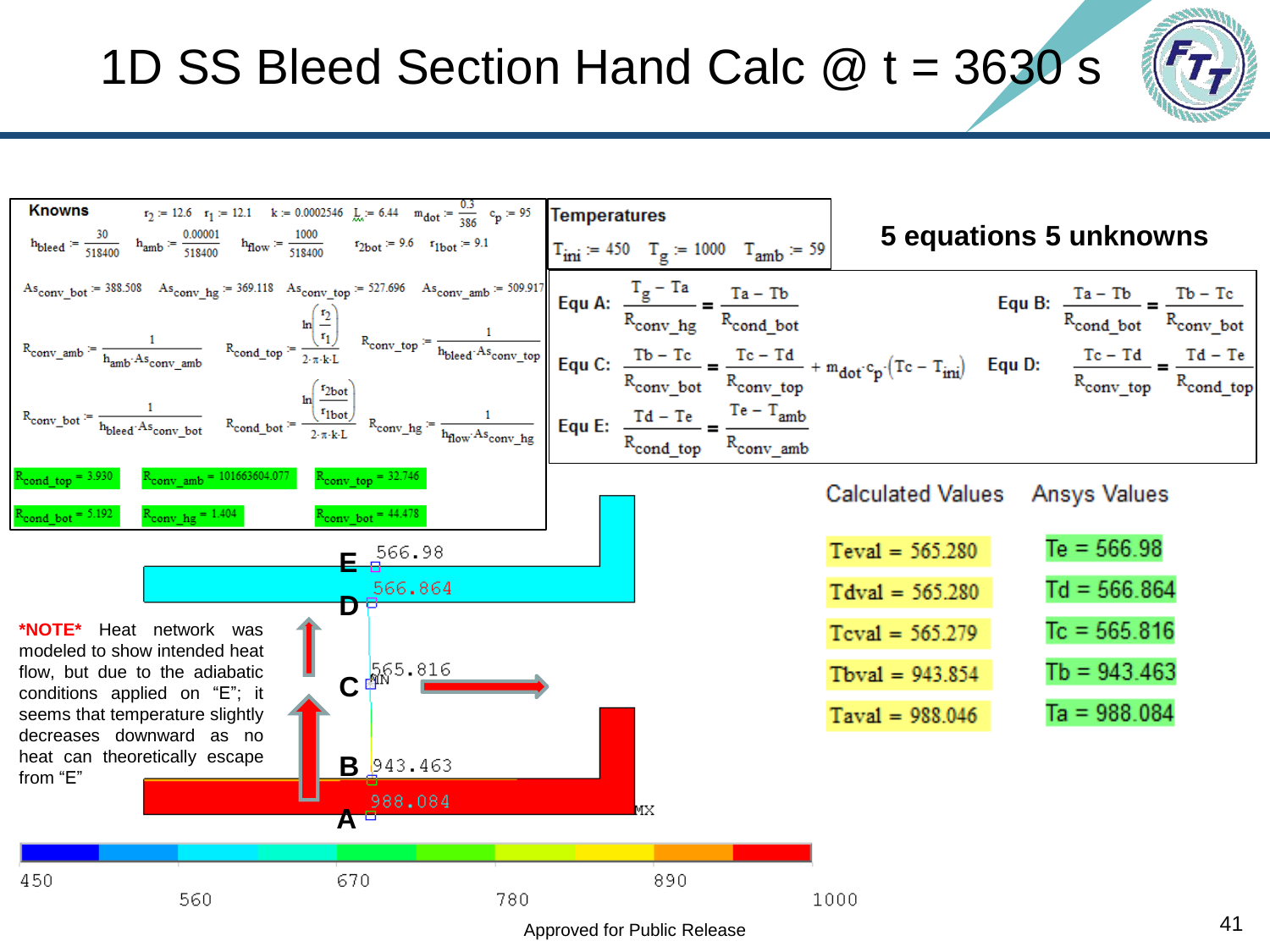#### 1D SS Bleed Section Hand Calc  $@t = 3630 s$

![](_page_40_Figure_1.jpeg)

![](_page_40_Figure_2.jpeg)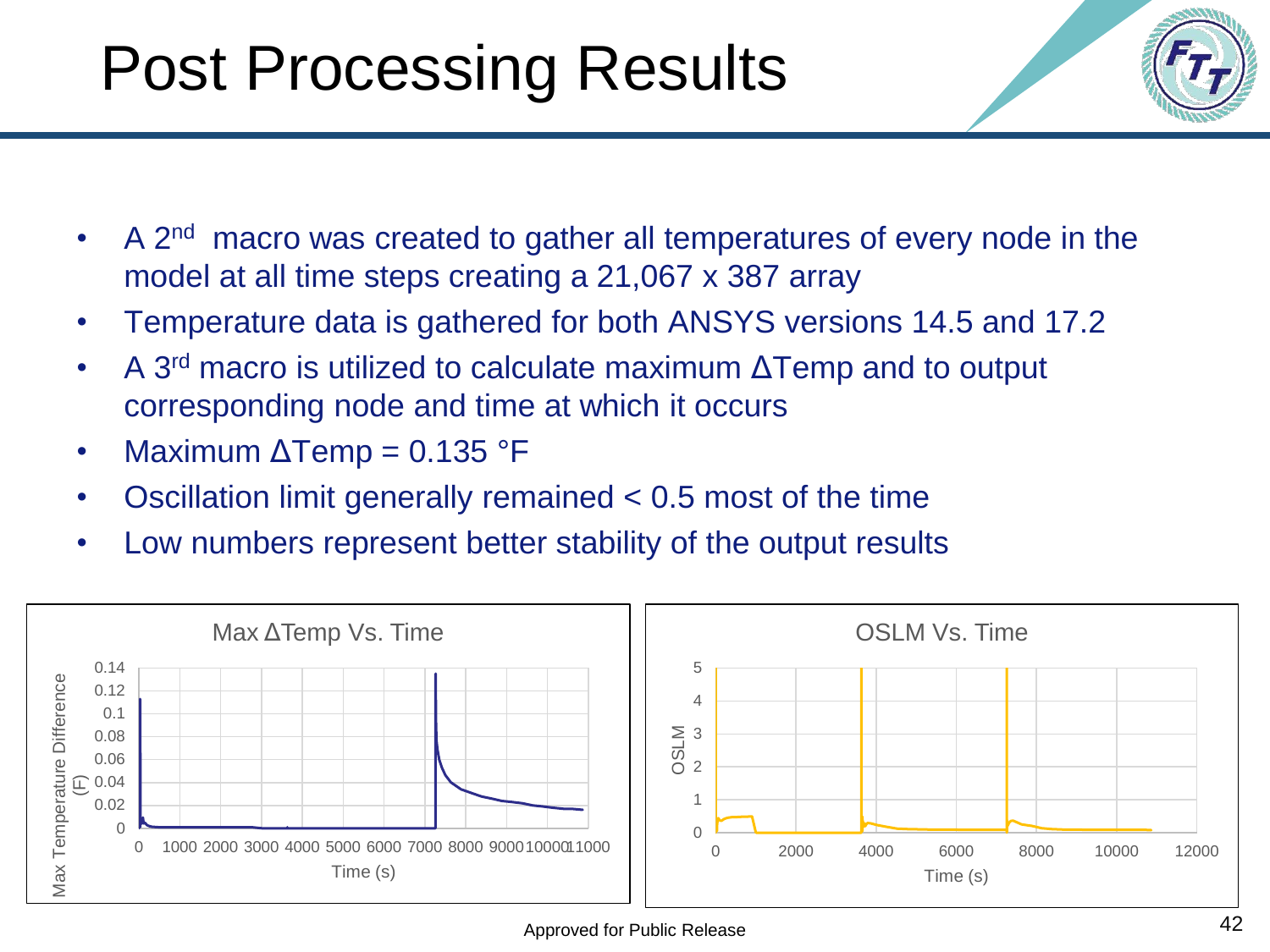## Post Processing Results

- A 2<sup>nd</sup> macro was created to gather all temperatures of every node in the model at all time steps creating a 21,067 x 387 array
- Temperature data is gathered for both ANSYS versions 14.5 and 17.2
- A 3<sup>rd</sup> macro is utilized to calculate maximum ΔTemp and to output corresponding node and time at which it occurs
- Maximum  $\Delta$ Temp = 0.135 °F
- Oscillation limit generally remained < 0.5 most of the time
- Low numbers represent better stability of the output results

![](_page_41_Figure_7.jpeg)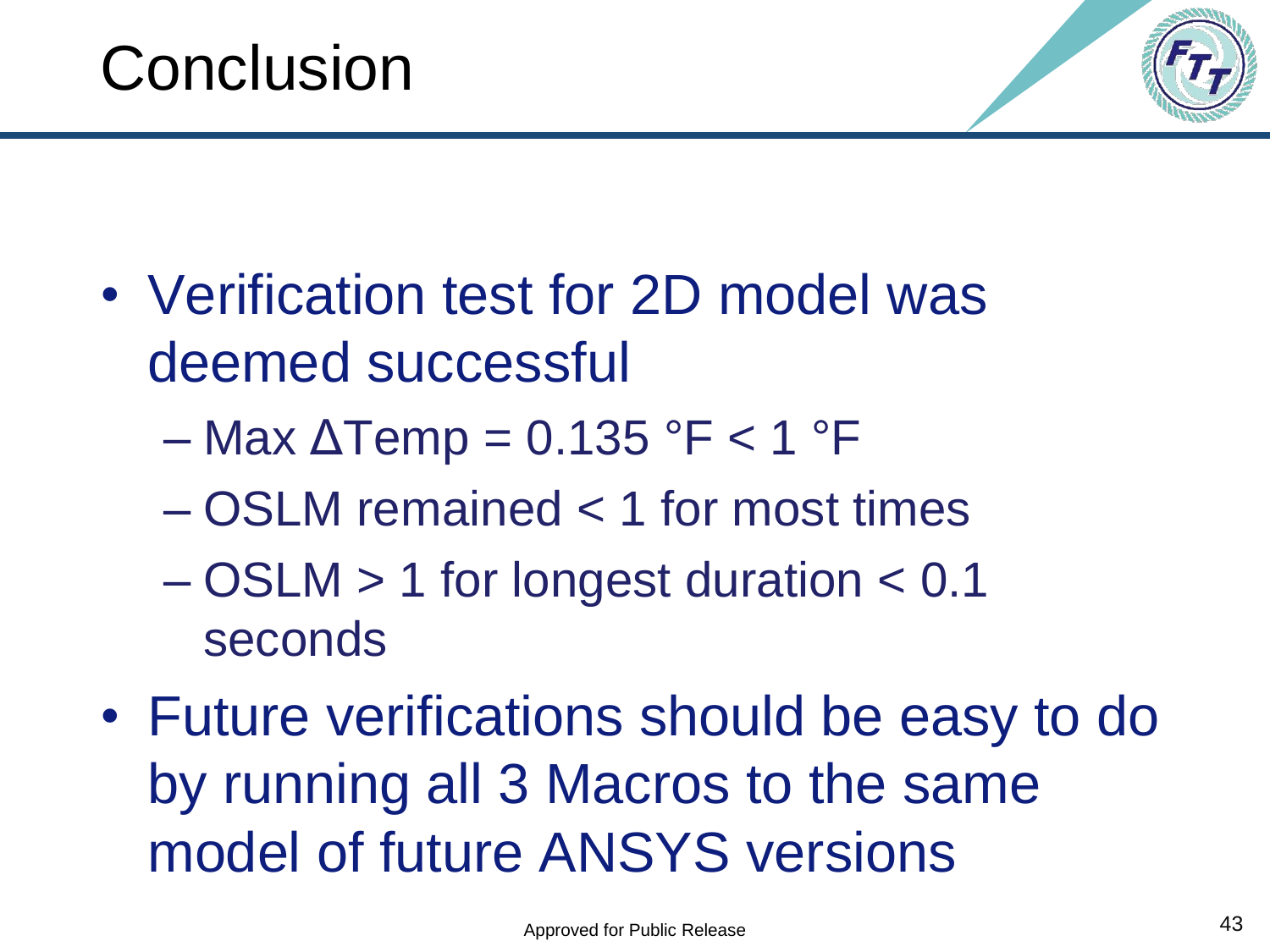![](_page_42_Picture_1.jpeg)

• Verification test for 2D model was deemed successful

 $-$  Max  $\Delta$ Temp = 0.135 °F < 1 °F

- OSLM remained < 1 for most times
- OSLM > 1 for longest duration < 0.1 seconds
- Future verifications should be easy to do by running all 3 Macros to the same model of future ANSYS versions